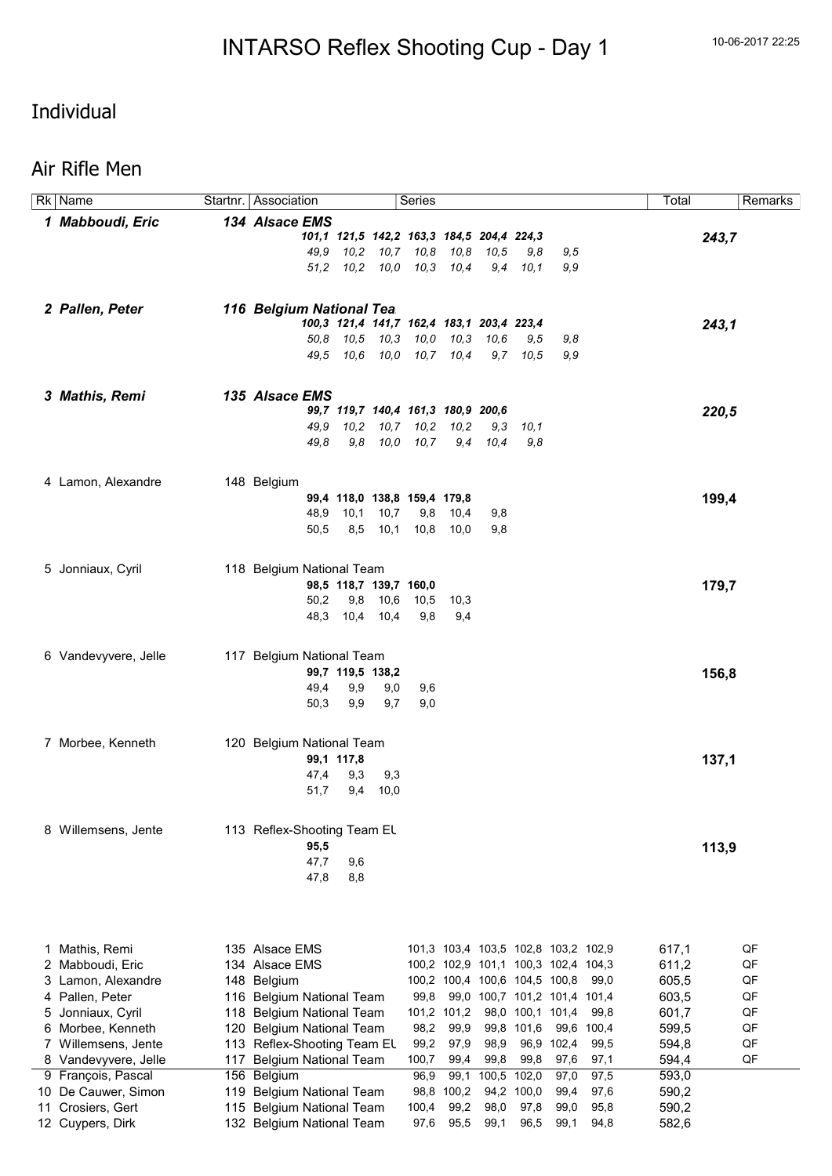Rk Name Startnr. Association Series Startnr. Association Series Startner Startner Startner Startner Startner Startner Startner Startner Startner Startner Startner Startner Startner Startner Startner Startner Startner Start

#### Individual

#### Air Rifle Men

| 1 Mabboudi, Eric     | 134 Alsace EMS              |                  |                        |                                           |             |            |                                     |            |            |       |       |
|----------------------|-----------------------------|------------------|------------------------|-------------------------------------------|-------------|------------|-------------------------------------|------------|------------|-------|-------|
|                      |                             |                  |                        | 101,1 121,5 142,2 163,3 184,5 204,4 224,3 |             |            |                                     |            |            |       | 243,7 |
|                      |                             |                  |                        | 49,9 10,2 10,7 10,8                       | 10,8        | 10,5       | 9,8                                 | 9,5        |            |       |       |
|                      |                             |                  |                        | 51,2 10,2 10,0 10,3                       | 10,4        |            | $9,4$ 10,1                          | 9,9        |            |       |       |
|                      |                             |                  |                        |                                           |             |            |                                     |            |            |       |       |
|                      |                             |                  |                        |                                           |             |            |                                     |            |            |       |       |
| 2 Pallen, Peter      | 116 Belgium National Tea.   |                  |                        |                                           |             |            |                                     |            |            |       |       |
|                      |                             |                  |                        | 100,3 121,4 141,7 162,4 183,1 203,4 223,4 |             |            |                                     |            |            |       | 243,1 |
|                      | 50.8                        |                  |                        | 10,5 10,3 10,0                            | 10,3        | 10,6       | 9,5                                 | 9,8        |            |       |       |
|                      | 49.5                        |                  |                        | 10,6 10,0 10,7 10,4                       |             |            | $9.7$ $10.5$                        | 9,9        |            |       |       |
|                      |                             |                  |                        |                                           |             |            |                                     |            |            |       |       |
| 3 Mathis, Remi       | 135 Alsace EMS              |                  |                        |                                           |             |            |                                     |            |            |       |       |
|                      |                             |                  |                        | 99,7 119,7 140,4 161,3 180,9 200,6        |             |            |                                     |            |            |       | 220,5 |
|                      | 49.9                        |                  |                        | 10,2 10,7 10,2                            | 10,2        | 9,3        | 10,1                                |            |            |       |       |
|                      | 49.8                        |                  |                        | 9,8 10,0 10,7                             |             | $9,4$ 10,4 | 9,8                                 |            |            |       |       |
|                      |                             |                  |                        |                                           |             |            |                                     |            |            |       |       |
|                      |                             |                  |                        |                                           |             |            |                                     |            |            |       |       |
| 4 Lamon, Alexandre   | 148 Belgium                 |                  |                        |                                           |             |            |                                     |            |            |       |       |
|                      |                             |                  |                        | 99,4 118,0 138,8 159,4 179,8              |             |            |                                     |            |            |       | 199,4 |
|                      | 48,9                        | 10,1             | 10,7                   | 9,8                                       | 10,4        | 9,8        |                                     |            |            |       |       |
|                      | 50,5                        | 8,5              |                        | 10,1 10,8                                 | 10,0        | 9,8        |                                     |            |            |       |       |
|                      |                             |                  |                        |                                           |             |            |                                     |            |            |       |       |
| 5 Jonniaux, Cyril    | 118 Belgium National Team   |                  |                        |                                           |             |            |                                     |            |            |       |       |
|                      |                             |                  | 98,5 118,7 139,7 160,0 |                                           |             |            |                                     |            |            |       | 179,7 |
|                      | 50,2                        |                  | 9,8 10,6 10,5          |                                           | 10,3        |            |                                     |            |            |       |       |
|                      |                             |                  | 48,3 10,4 10,4         | 9,8                                       | 9,4         |            |                                     |            |            |       |       |
|                      |                             |                  |                        |                                           |             |            |                                     |            |            |       |       |
|                      |                             |                  |                        |                                           |             |            |                                     |            |            |       |       |
| 6 Vandevyvere, Jelle | 117 Belgium National Team   |                  |                        |                                           |             |            |                                     |            |            |       |       |
|                      |                             | 99,7 119,5 138,2 |                        |                                           |             |            |                                     |            |            |       | 156,8 |
|                      | 49,4                        | 9,9              | 9,0                    | 9,6                                       |             |            |                                     |            |            |       |       |
|                      | 50,3                        | 9,9              | 9,7                    | 9,0                                       |             |            |                                     |            |            |       |       |
|                      |                             |                  |                        |                                           |             |            |                                     |            |            |       |       |
|                      |                             |                  |                        |                                           |             |            |                                     |            |            |       |       |
| 7 Morbee, Kenneth    | 120 Belgium National Team   |                  |                        |                                           |             |            |                                     |            |            |       |       |
|                      |                             | 99,1 117,8       |                        |                                           |             |            |                                     |            |            |       | 137,1 |
|                      | 47,4                        | 9,3              | 9,3                    |                                           |             |            |                                     |            |            |       |       |
|                      | 51,7                        |                  | 9,4 10,0               |                                           |             |            |                                     |            |            |       |       |
|                      |                             |                  |                        |                                           |             |            |                                     |            |            |       |       |
| 8 Willemsens, Jente  | 113 Reflex-Shooting Team EL |                  |                        |                                           |             |            |                                     |            |            |       |       |
|                      | 95,5                        |                  |                        |                                           |             |            |                                     |            |            |       | 113,9 |
|                      | 47,7                        | 9,6              |                        |                                           |             |            |                                     |            |            |       |       |
|                      | 47,8                        | 8,8              |                        |                                           |             |            |                                     |            |            |       |       |
|                      |                             |                  |                        |                                           |             |            |                                     |            |            |       |       |
|                      |                             |                  |                        |                                           |             |            |                                     |            |            |       |       |
|                      |                             |                  |                        |                                           |             |            |                                     |            |            |       |       |
|                      | 135 Alsace EMS              |                  |                        |                                           |             |            |                                     |            |            |       | QF    |
| 1 Mathis, Remi       | 134 Alsace EMS              |                  |                        |                                           |             |            | 101,3 103,4 103,5 102,8 103,2 102,9 |            |            | 617,1 | QF    |
| 2 Mabboudi, Eric     |                             |                  |                        |                                           |             |            | 100,2 102,9 101,1 100,3 102,4 104,3 |            |            | 611,2 |       |
| 3 Lamon, Alexandre   | 148 Belgium                 |                  |                        |                                           |             |            | 100,2 100,4 100,6 104,5 100,8       |            | 99,0       | 605,5 | QF    |
| 4 Pallen, Peter      | 116 Belgium National Team   |                  |                        | 99,8                                      |             |            | 99,0 100,7 101,2 101,4 101,4        |            |            | 603,5 | QF    |
| 5 Jonniaux, Cyril    | 118 Belgium National Team   |                  |                        |                                           | 101,2 101,2 |            | 98,0 100,1 101,4                    |            | 99,8       | 601,7 | QF    |
| 6 Morbee, Kenneth    | 120 Belgium National Team   |                  |                        | 98,2                                      | 99,9        |            | 99,8 101,6                          |            | 99,6 100,4 | 599,5 | QF    |
| 7 Willemsens, Jente  | 113 Reflex-Shooting Team EL |                  |                        | 99,2                                      | 97,9        | 98,9       |                                     | 96,9 102,4 | 99,5       | 594,8 | QF    |
| 8 Vandevyvere, Jelle | 117 Belgium National Team   |                  |                        | 100,7                                     | 99,4        | 99,8       | 99,8                                | 97,6       | 97,1       | 594,4 | QF    |
| 9 François, Pascal   | 156 Belgium                 |                  |                        | 96,9                                      | 99,1        |            | 100,5 102,0                         | 97,0       | 97,5       | 593,0 |       |
| 10 De Cauwer, Simon  | 119 Belgium National Team   |                  |                        |                                           | 98,8 100,2  |            | 94,2 100,0                          | 99,4       | 97,6       | 590,2 |       |
| 11 Crosiers, Gert    | 115 Belgium National Team   |                  |                        | 100,4                                     | 99,2        | 98,0       | 97,8                                | 99,0       | 95,8       | 590,2 |       |
| 12 Cuypers, Dirk     | 132 Belgium National Team   |                  |                        | 97,6                                      | 95,5        | 99,1       | 96,5                                | 99,1       | 94,8       | 582,6 |       |
|                      |                             |                  |                        |                                           |             |            |                                     |            |            |       |       |
|                      |                             |                  |                        |                                           |             |            |                                     |            |            |       |       |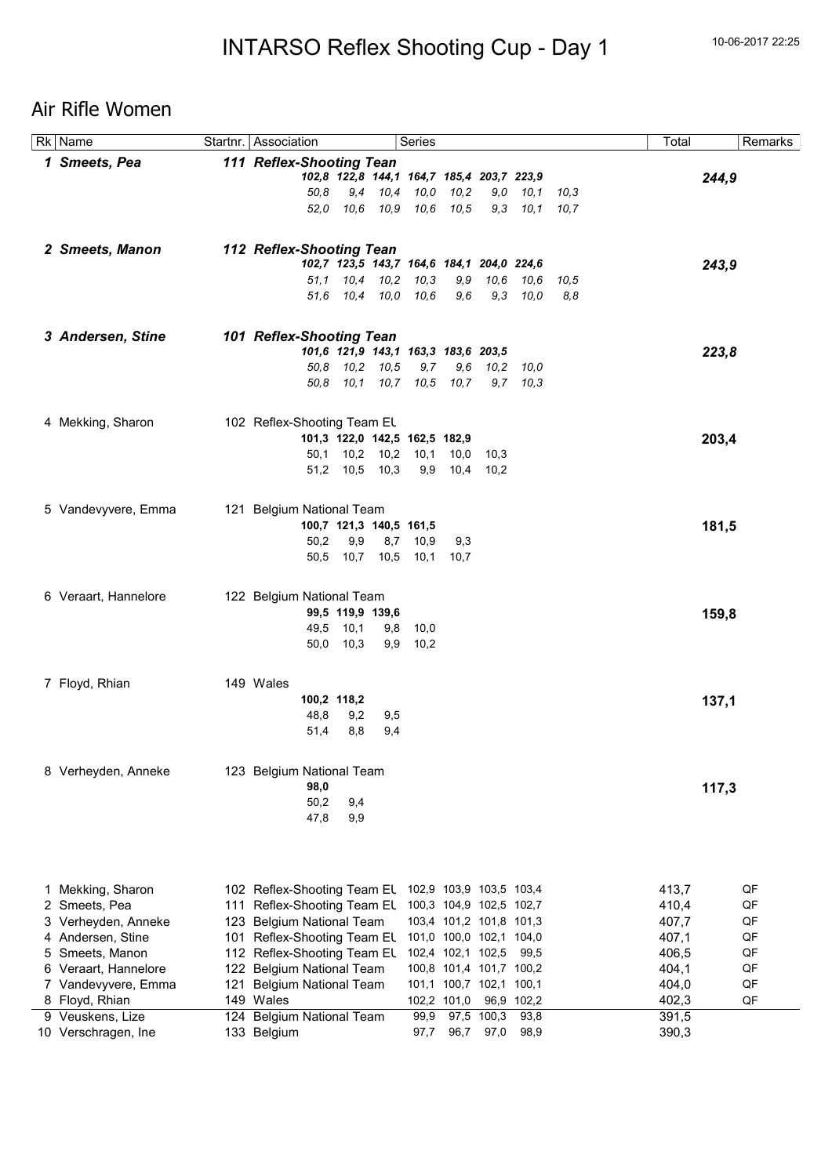## Air Rifle Women

|    | $\overline{Rk}$ Name             | Startnr.   Association                                                                                     |                  |     | Series                                     |               |                         |                           |             | Total          |       | Remarks |
|----|----------------------------------|------------------------------------------------------------------------------------------------------------|------------------|-----|--------------------------------------------|---------------|-------------------------|---------------------------|-------------|----------------|-------|---------|
|    | 1 Smeets, Pea                    | 111 Reflex-Shooting Tean                                                                                   |                  |     |                                            |               |                         |                           |             |                |       |         |
|    |                                  |                                                                                                            |                  |     | 102,8 122,8 144,1 164,7 185,4 203,7 223,9  |               |                         |                           |             |                | 244,9 |         |
|    |                                  | 50.8                                                                                                       |                  |     | 9,4 10,4 10,0                              | 10,2          |                         | $9,0$ $10,1$              | 10,3        |                |       |         |
|    |                                  | 52.0                                                                                                       |                  |     | 10,6 10,9 10,6                             | 10,5          |                         | 9,3 10,1 10,7             |             |                |       |         |
|    |                                  |                                                                                                            |                  |     |                                            |               |                         |                           |             |                |       |         |
|    | 2 Smeets, Manon                  | 112 Reflex-Shooting Tean                                                                                   |                  |     |                                            |               |                         |                           |             |                |       |         |
|    |                                  |                                                                                                            |                  |     | 102,7 123,5 143,7 164,6 184,1 204,0 224,6  |               |                         |                           |             |                | 243,9 |         |
|    |                                  |                                                                                                            |                  |     | 51,1 10,4 10,2 10,3<br>51,6 10,4 10,0 10,6 | 9,9<br>9,6    |                         | 10,6 10,6<br>$9,3$ $10,0$ | 10,5<br>8,8 |                |       |         |
|    |                                  |                                                                                                            |                  |     |                                            |               |                         |                           |             |                |       |         |
|    |                                  |                                                                                                            |                  |     |                                            |               |                         |                           |             |                |       |         |
|    | 3 Andersen, Stine                | 101 Reflex-Shooting Tean                                                                                   |                  |     |                                            |               |                         |                           |             |                |       |         |
|    |                                  |                                                                                                            | 50,8 10,2 10,5   |     | 101,6 121,9 143,1 163,3 183,6 203,5<br>9,7 |               | $9,6$ $10,2$ $10,0$     |                           |             |                | 223,8 |         |
|    |                                  |                                                                                                            |                  |     | 50,8 10,1 10,7 10,5 10,7                   |               |                         | $9,7$ $10,3$              |             |                |       |         |
|    |                                  |                                                                                                            |                  |     |                                            |               |                         |                           |             |                |       |         |
|    |                                  | 102 Reflex-Shooting Team EL                                                                                |                  |     |                                            |               |                         |                           |             |                |       |         |
|    | 4 Mekking, Sharon                |                                                                                                            |                  |     | 101,3 122,0 142,5 162,5 182,9              |               |                         |                           |             |                | 203,4 |         |
|    |                                  |                                                                                                            |                  |     | 50,1 10,2 10,2 10,1                        | 10,0          | 10,3                    |                           |             |                |       |         |
|    |                                  |                                                                                                            | 51,2 10,5 10,3   |     |                                            | 9,9 10,4 10,2 |                         |                           |             |                |       |         |
|    |                                  |                                                                                                            |                  |     |                                            |               |                         |                           |             |                |       |         |
|    | 5 Vandevyvere, Emma              | 121 Belgium National Team                                                                                  |                  |     |                                            |               |                         |                           |             |                |       |         |
|    |                                  |                                                                                                            |                  |     | 100,7 121,3 140,5 161,5                    |               |                         |                           |             |                | 181,5 |         |
|    |                                  | 50,2                                                                                                       | 9,9              |     | 8,7 10,9                                   | 9,3           |                         |                           |             |                |       |         |
|    |                                  | 50,5                                                                                                       |                  |     | 10,7 10,5 10,1                             | 10,7          |                         |                           |             |                |       |         |
|    |                                  |                                                                                                            |                  |     |                                            |               |                         |                           |             |                |       |         |
|    | 6 Veraart, Hannelore             | 122 Belgium National Team                                                                                  |                  |     |                                            |               |                         |                           |             |                |       |         |
|    |                                  |                                                                                                            | 99,5 119,9 139,6 |     |                                            |               |                         |                           |             |                | 159,8 |         |
|    |                                  |                                                                                                            | 49,5 10,1        |     | 9,8 10,0                                   |               |                         |                           |             |                |       |         |
|    |                                  |                                                                                                            | 50,0 10,3        |     | $9,9$ 10,2                                 |               |                         |                           |             |                |       |         |
|    |                                  |                                                                                                            |                  |     |                                            |               |                         |                           |             |                |       |         |
|    | 7 Floyd, Rhian                   | 149 Wales                                                                                                  |                  |     |                                            |               |                         |                           |             |                |       |         |
|    |                                  |                                                                                                            | 100,2 118,2      |     |                                            |               |                         |                           |             |                | 137,1 |         |
|    |                                  | 48,8                                                                                                       | 9,2              | 9,5 |                                            |               |                         |                           |             |                |       |         |
|    |                                  | 51,4                                                                                                       | 8,8              | 9,4 |                                            |               |                         |                           |             |                |       |         |
|    |                                  |                                                                                                            |                  |     |                                            |               |                         |                           |             |                |       |         |
|    | 8 Verheyden, Anneke              | 123 Belgium National Team                                                                                  |                  |     |                                            |               |                         |                           |             |                |       |         |
|    |                                  | 98,0                                                                                                       |                  |     |                                            |               |                         |                           |             |                | 117,3 |         |
|    |                                  | 50,2                                                                                                       | 9,4              |     |                                            |               |                         |                           |             |                |       |         |
|    |                                  | 47,8                                                                                                       | 9,9              |     |                                            |               |                         |                           |             |                |       |         |
|    |                                  |                                                                                                            |                  |     |                                            |               |                         |                           |             |                |       |         |
|    |                                  |                                                                                                            |                  |     |                                            |               |                         |                           |             |                |       |         |
|    |                                  |                                                                                                            |                  |     |                                            |               |                         |                           |             |                |       | QF      |
| 1  | Mekking, Sharon<br>2 Smeets, Pea | 102 Reflex-Shooting Team EL 102,9 103,9 103,5 103,4<br>111 Reflex-Shooting Team EL 100,3 104,9 102,5 102,7 |                  |     |                                            |               |                         |                           |             | 413,7<br>410,4 |       | QF      |
|    | 3 Verheyden, Anneke              | 123 Belgium National Team                                                                                  |                  |     |                                            |               | 103,4 101,2 101,8 101,3 |                           |             | 407,7          |       | QF      |
|    | 4 Andersen, Stine                | 101 Reflex-Shooting Team EL                                                                                |                  |     |                                            |               | 101,0 100,0 102,1 104,0 |                           |             | 407,1          |       | QF      |
| 5. | Smeets, Manon                    | 112 Reflex-Shooting Team EL                                                                                |                  |     |                                            |               | 102,4 102,1 102,5       | 99,5                      |             | 406,5          |       | QF      |
|    | 6 Veraart, Hannelore             | 122 Belgium National Team                                                                                  |                  |     |                                            |               | 100,8 101,4 101,7 100,2 |                           |             | 404,1          |       | QF      |
|    | 7 Vandevyvere, Emma              | 121 Belgium National Team                                                                                  |                  |     |                                            |               | 101,1 100,7 102,1 100,1 |                           |             | 404,0          |       | QF      |
|    | 8 Floyd, Rhian                   | 149 Wales                                                                                                  |                  |     |                                            | 102,2 101,0   |                         | 96,9 102,2                |             | 402,3          |       | QF      |
|    | 9 Veuskens, Lize                 | 124 Belgium National Team                                                                                  |                  |     | 99,9                                       |               | 97,5 100,3              | 93,8                      |             | 391,5          |       |         |
|    | 10 Verschragen, Ine              | 133 Belgium                                                                                                |                  |     | 97,7                                       | 96,7          | 97,0                    | 98,9                      |             | 390,3          |       |         |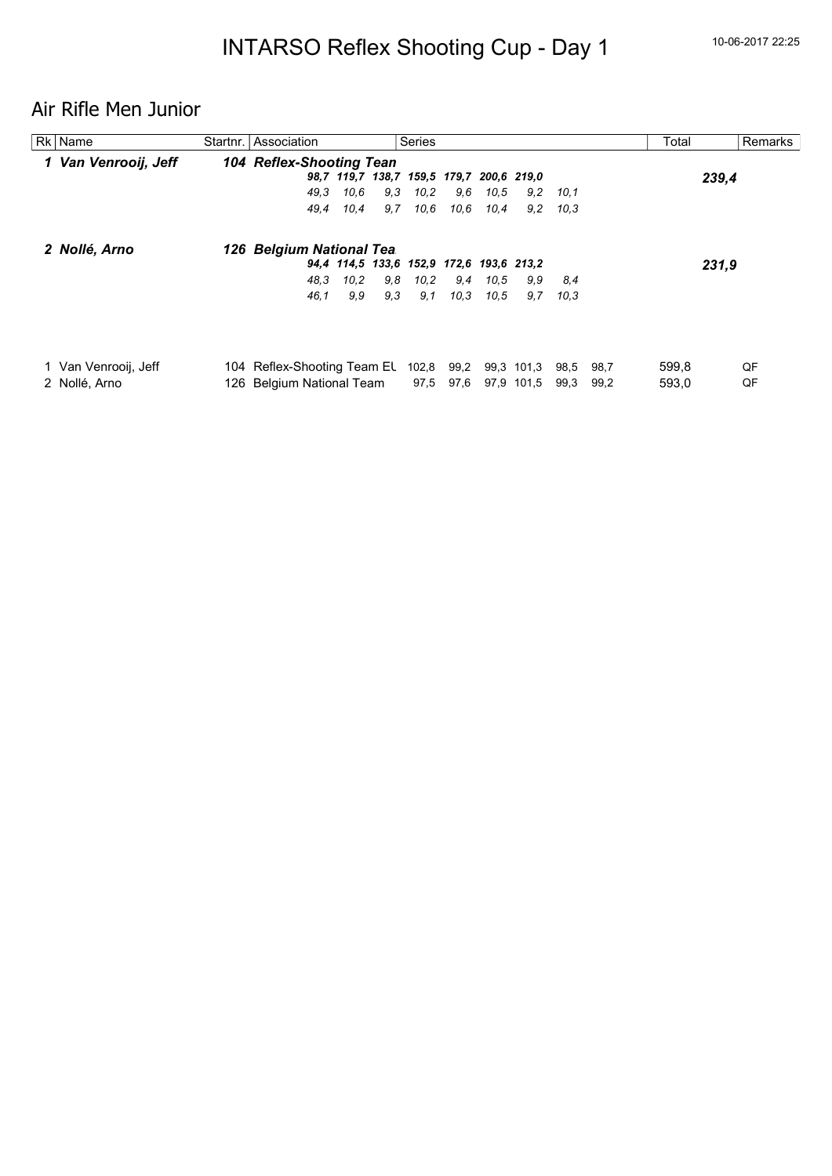# Air Rifle Men Junior

| Rk   Name            | Startnr. Association            |      |                                          | <b>Series</b> |      |      |            |      |      | Total |       | Remarks |
|----------------------|---------------------------------|------|------------------------------------------|---------------|------|------|------------|------|------|-------|-------|---------|
| 1 Van Venrooij, Jeff | <b>104 Reflex-Shooting Tean</b> |      |                                          |               |      |      |            |      |      |       |       |         |
|                      |                                 |      | 98,7 119,7 138,7 159,5 179,7 200,6 219,0 |               |      |      |            |      |      |       | 239,4 |         |
|                      | 49.3                            | 10.6 | 9.3                                      | 10.2          | 9.6  | 10.5 | 9,2        | 10.1 |      |       |       |         |
|                      | 49,4                            | 10,4 | 9,7                                      | 10,6          | 10,6 | 10,4 | 9,2        | 10.3 |      |       |       |         |
| 2 Nollé, Arno        | 126 Belgium National Tea.       |      |                                          |               |      |      |            |      |      |       |       |         |
|                      |                                 |      | 94,4 114,5 133,6 152,9 172,6 193,6 213,2 |               |      |      |            |      |      |       | 231,9 |         |
|                      | 48.3                            | 10,2 | 9.8                                      | 10.2          | 9,4  | 10.5 | 9.9        | 8.4  |      |       |       |         |
|                      | 46,1                            | 9.9  | 9,3                                      | 9,1           | 10.3 | 10.5 | 9,7        | 10,3 |      |       |       |         |
|                      |                                 |      |                                          |               |      |      |            |      |      |       |       |         |
| 1 Van Venrooij, Jeff | 104 Reflex-Shooting Team EL     |      |                                          | 102,8         | 99,2 |      | 99,3 101,3 | 98,5 | 98,7 | 599,8 |       | QF      |
| 2 Nollé, Arno        | 126 Belgium National Team       |      |                                          | 97,5          | 97,6 |      | 97,9 101,5 | 99.3 | 99,2 | 593,0 |       | QF      |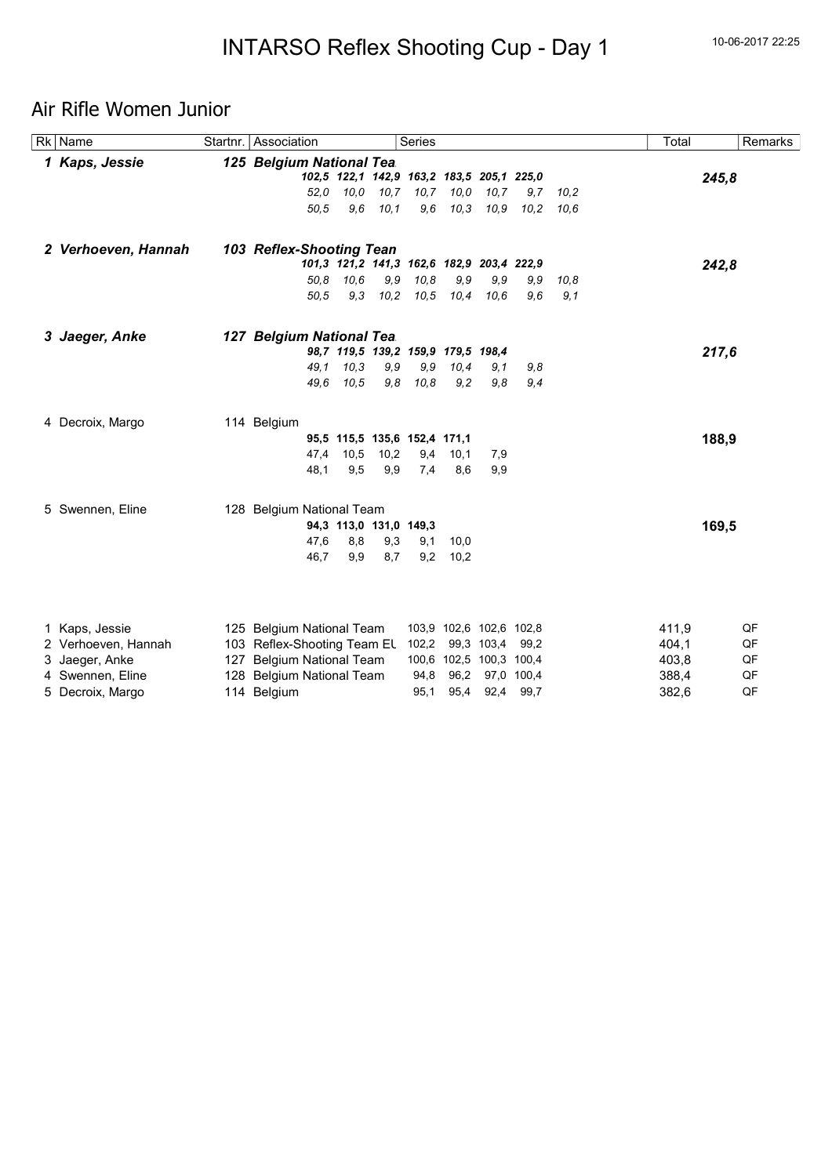## Air Rifle Women Junior

| $\overline{Rk}$ Name | Startnr.   Association      |      |                              | Series        |                                           |            |            |      | Total |       | Remarks |
|----------------------|-----------------------------|------|------------------------------|---------------|-------------------------------------------|------------|------------|------|-------|-------|---------|
| 1 Kaps, Jessie       | 125 Belgium National Tea.   |      |                              |               |                                           |            |            |      |       |       |         |
|                      |                             |      |                              |               | 102,5 122,1 142,9 163,2 183,5 205,1 225,0 |            |            |      |       | 245,8 |         |
|                      | 52,0                        | 10.0 | 10,7                         | 10,7          | 10,0                                      | 10, 7      | 9,7        | 10,2 |       |       |         |
|                      | 50.5                        | 9,6  | 10,1                         | 9,6           | 10,3                                      | 10,9       | 10,2       | 10.6 |       |       |         |
| 2 Verhoeven, Hannah  | 103 Reflex-Shooting Tean    |      |                              |               |                                           |            |            |      |       |       |         |
|                      |                             |      |                              |               | 101,3 121,2 141,3 162,6 182,9 203,4 222,9 |            |            |      |       | 242,8 |         |
|                      | 50.8                        | 10.6 | 9,9                          | 10,8          | 9,9                                       | 9.9        | 9,9        | 10,8 |       |       |         |
|                      | 50.5                        | 9,3  |                              | $10,2$ $10,5$ | 10,4                                      | 10.6       | 9,6        | 9,1  |       |       |         |
| 3 Jaeger, Anke       | 127 Belgium National Tea.   |      |                              |               |                                           |            |            |      |       |       |         |
|                      |                             |      |                              |               | 98,7 119,5 139,2 159,9 179,5 198,4        |            |            |      |       | 217,6 |         |
|                      | 49.1                        | 10,3 | 9,9                          | 9,9           | 10,4                                      | 9,1        | 9,8        |      |       |       |         |
|                      | 49.6                        | 10.5 | 9,8                          | 10,8          | 9,2                                       | 9,8        | 9,4        |      |       |       |         |
| 4 Decroix, Margo     | 114 Belgium                 |      |                              |               |                                           |            |            |      |       |       |         |
|                      |                             |      | 95,5 115,5 135,6 152,4 171,1 |               |                                           |            |            |      |       | 188,9 |         |
|                      | 47,4                        | 10,5 | 10,2                         | 9,4           | 10,1                                      | 7,9        |            |      |       |       |         |
|                      | 48,1                        | 9,5  | 9,9                          | 7,4           | 8,6                                       | 9,9        |            |      |       |       |         |
| 5 Swennen, Eline     | 128 Belgium National Team   |      |                              |               |                                           |            |            |      |       |       |         |
|                      |                             |      | 94,3 113,0 131,0 149,3       |               |                                           |            |            |      |       | 169,5 |         |
|                      | 47,6                        | 8,8  | 9,3                          | 9,1           | 10,0                                      |            |            |      |       |       |         |
|                      | 46,7                        | 9,9  | 8,7                          | 9,2           | 10,2                                      |            |            |      |       |       |         |
|                      |                             |      |                              |               |                                           |            |            |      |       |       |         |
| 1 Kaps, Jessie       | 125 Belgium National Team   |      |                              |               | 103,9 102,6 102,6 102,8                   |            |            |      | 411,9 |       | QF      |
| 2 Verhoeven, Hannah  | 103 Reflex-Shooting Team EL |      |                              | 102,2         |                                           | 99,3 103,4 | 99,2       |      | 404,1 |       | QF      |
| 3 Jaeger, Anke       | 127 Belgium National Team   |      |                              |               | 100,6 102,5 100,3 100,4                   |            |            |      | 403,8 |       | QF      |
| 4 Swennen, Eline     | 128 Belgium National Team   |      |                              | 94,8          | 96,2                                      |            | 97,0 100,4 |      | 388,4 |       | QF      |
| 5 Decroix, Margo     | 114 Belgium                 |      |                              | 95,1          | 95,4                                      | 92,4       | 99,7       |      | 382,6 |       | QF      |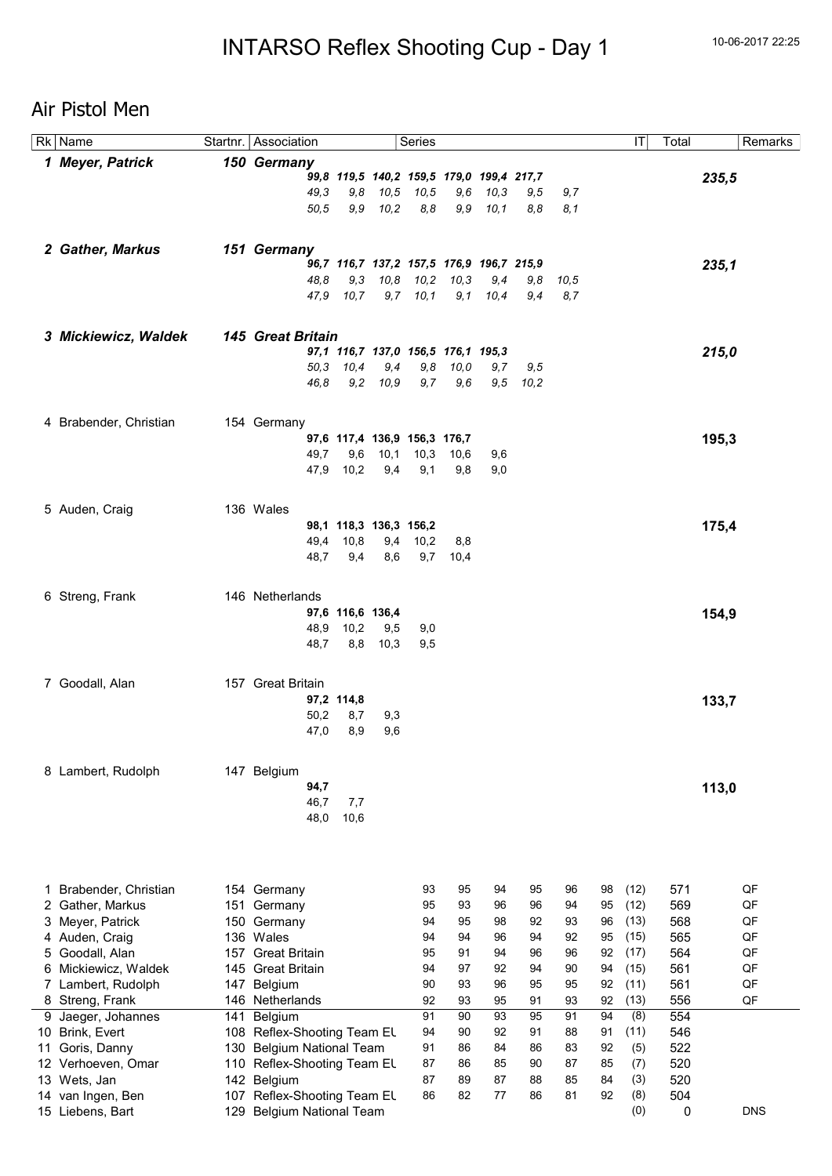# Air Pistol Men

|    | Rk Name                             |            | Startnr.   Association       |                        |      | Series                                    |          |          |             |          |          | ΙT          | Total      | Remarks    |
|----|-------------------------------------|------------|------------------------------|------------------------|------|-------------------------------------------|----------|----------|-------------|----------|----------|-------------|------------|------------|
|    | 1 Meyer, Patrick                    |            | 150 Germany                  |                        |      |                                           |          |          |             |          |          |             |            |            |
|    |                                     |            |                              |                        |      | 99,8 119,5 140,2 159,5 179,0 199,4 217,7  |          |          |             |          |          |             |            | 235,5      |
|    |                                     |            | 49,3                         | 9,8                    | 10,5 | 10,5                                      | 9,6      | 10,3     | 9,5         | 9,7      |          |             |            |            |
|    |                                     |            | 50.5                         | 9,9                    | 10,2 | 8,8                                       | 9,9      | 10, 1    | 8,8         | 8,1      |          |             |            |            |
|    |                                     |            |                              |                        |      |                                           |          |          |             |          |          |             |            |            |
|    | 2 Gather, Markus                    |            | 151 Germany                  |                        |      |                                           |          |          |             |          |          |             |            |            |
|    |                                     |            |                              |                        |      | 96,7 116,7 137,2 157,5 176,9 196,7 215,9  |          |          |             |          |          |             |            | 235,1      |
|    |                                     |            | 48.8                         | 9,3                    | 10,8 | 10,2                                      | 10,3     | 9,4      | 9,8         | 10,5     |          |             |            |            |
|    |                                     |            |                              | 47,9 10,7              |      | $9,7$ 10,1                                | 9,1      | 10,4     | 9,4         | 8,7      |          |             |            |            |
|    |                                     |            |                              |                        |      |                                           |          |          |             |          |          |             |            |            |
|    | 3 Mickiewicz, Waldek                |            | <b>145 Great Britain</b>     |                        |      |                                           |          |          |             |          |          |             |            |            |
|    |                                     |            | 50.3                         | 10,4                   | 9,4  | 97,1 116,7 137,0 156,5 176,1 195,3<br>9,8 | 10,0     | 9,7      |             |          |          |             |            | 215,0      |
|    |                                     |            | 46.8                         | 9,2                    | 10,9 | 9,7                                       | 9,6      | 9,5      | 9,5<br>10,2 |          |          |             |            |            |
|    |                                     |            |                              |                        |      |                                           |          |          |             |          |          |             |            |            |
|    |                                     |            |                              |                        |      |                                           |          |          |             |          |          |             |            |            |
|    | 4 Brabender, Christian              |            | 154 Germany                  |                        |      | 97,6 117,4 136,9 156,3 176,7              |          |          |             |          |          |             |            | 195,3      |
|    |                                     |            | 49,7                         | 9,6                    | 10,1 | 10,3                                      | 10,6     | 9,6      |             |          |          |             |            |            |
|    |                                     |            | 47,9                         | 10,2                   | 9,4  | 9,1                                       | 9,8      | 9,0      |             |          |          |             |            |            |
|    |                                     |            |                              |                        |      |                                           |          |          |             |          |          |             |            |            |
|    | 5 Auden, Craig                      |            | 136 Wales                    |                        |      |                                           |          |          |             |          |          |             |            |            |
|    |                                     |            |                              | 98,1 118,3 136,3 156,2 |      |                                           |          |          |             |          |          |             |            | 175,4      |
|    |                                     |            | 49,4                         | 10,8                   | 9,4  | 10,2                                      | 8,8      |          |             |          |          |             |            |            |
|    |                                     |            | 48,7                         | 9,4                    | 8,6  | 9,7                                       | 10,4     |          |             |          |          |             |            |            |
|    |                                     |            |                              |                        |      |                                           |          |          |             |          |          |             |            |            |
|    | 6 Streng, Frank                     |            | 146 Netherlands              |                        |      |                                           |          |          |             |          |          |             |            |            |
|    |                                     |            |                              | 97,6 116,6 136,4       |      |                                           |          |          |             |          |          |             |            | 154,9      |
|    |                                     |            | 48,9                         | 10,2                   | 9,5  | 9,0                                       |          |          |             |          |          |             |            |            |
|    |                                     |            | 48,7                         | 8,8                    | 10,3 | 9,5                                       |          |          |             |          |          |             |            |            |
|    |                                     |            |                              |                        |      |                                           |          |          |             |          |          |             |            |            |
|    | 7 Goodall, Alan                     |            | 157 Great Britain            |                        |      |                                           |          |          |             |          |          |             |            |            |
|    |                                     |            |                              | 97,2 114,8             |      |                                           |          |          |             |          |          |             |            | 133,7      |
|    |                                     |            | 50,2                         | 8,7                    | 9,3  |                                           |          |          |             |          |          |             |            |            |
|    |                                     |            | 47,0                         | 8,9                    | 9,6  |                                           |          |          |             |          |          |             |            |            |
|    |                                     |            |                              |                        |      |                                           |          |          |             |          |          |             |            |            |
|    | 8 Lambert, Rudolph                  |            | 147 Belgium                  |                        |      |                                           |          |          |             |          |          |             |            |            |
|    |                                     |            | 94,7                         |                        |      |                                           |          |          |             |          |          |             |            | 113,0      |
|    |                                     |            | 46,7<br>48,0                 | 7,7<br>10,6            |      |                                           |          |          |             |          |          |             |            |            |
|    |                                     |            |                              |                        |      |                                           |          |          |             |          |          |             |            |            |
|    |                                     |            |                              |                        |      |                                           |          |          |             |          |          |             |            |            |
|    |                                     |            |                              |                        |      |                                           |          |          |             |          |          |             |            |            |
| 1. | Brabender, Christian                |            | 154 Germany                  |                        |      | 93                                        | 95       | 94       | 95          | 96       | 98       | (12)        | 571        | QF         |
| 2. | Gather, Markus                      |            | 151 Germany                  |                        |      | 95                                        | 93       | 96       | 96          | 94       | 95       | (12)        | 569        | QF         |
| 3. | Meyer, Patrick                      | 150        | Germany                      |                        |      | 94                                        | 95       | 98       | 92          | 93       | 96       | (13)        | 568        | QF         |
|    | 4 Auden, Craig                      |            | 136 Wales                    |                        |      | 94                                        | 94       | 96       | 94          | 92       | 95       | (15)        | 565        | QF         |
| 5  | Goodall, Alan                       |            | 157 Great Britain            |                        |      | 95                                        | 91       | 94       | 96          | 96       | 92       | (17)        | 564        | QF         |
| 6  | Mickiewicz, Waldek                  | 145        | <b>Great Britain</b>         |                        |      | 94                                        | 97       | 92       | 94          | 90       | 94       | (15)        | 561        | QF         |
| 7  | Lambert, Rudolph                    | 147        | Belgium                      |                        |      | 90                                        | 93       | 96       | 95          | 95       | 92       | (11)        | 561        | QF         |
| 9  | 8 Streng, Frank<br>Jaeger, Johannes | 146<br>141 | Netherlands<br>Belgium       |                        |      | 92<br>91                                  | 93<br>90 | 95<br>93 | 91<br>95    | 93<br>91 | 92<br>94 | (13)<br>(8) | 556<br>554 | QF         |
|    | 10 Brink, Evert                     |            | 108 Reflex-Shooting Team EL  |                        |      | 94                                        | 90       | 92       | 91          | 88       | 91       | (11)        | 546        |            |
| 11 | Goris, Danny                        |            | 130 Belgium National Team    |                        |      | 91                                        | 86       | 84       | 86          | 83       | 92       | (5)         | 522        |            |
|    | 12 Verhoeven, Omar                  |            | 110 Reflex-Shooting Team EL  |                        |      | 87                                        | 86       | 85       | 90          | 87       | 85       | (7)         | 520        |            |
|    | 13 Wets, Jan                        |            | 142 Belgium                  |                        |      | 87                                        | 89       | 87       | 88          | 85       | 84       | (3)         | 520        |            |
|    | 14 van Ingen, Ben                   | 107        | Reflex-Shooting Team EL      |                        |      | 86                                        | 82       | 77       | 86          | 81       | 92       | (8)         | 504        |            |
|    | 15 Liebens, Bart                    | 129        | <b>Belgium National Team</b> |                        |      |                                           |          |          |             |          |          | (0)         | 0          | <b>DNS</b> |
|    |                                     |            |                              |                        |      |                                           |          |          |             |          |          |             |            |            |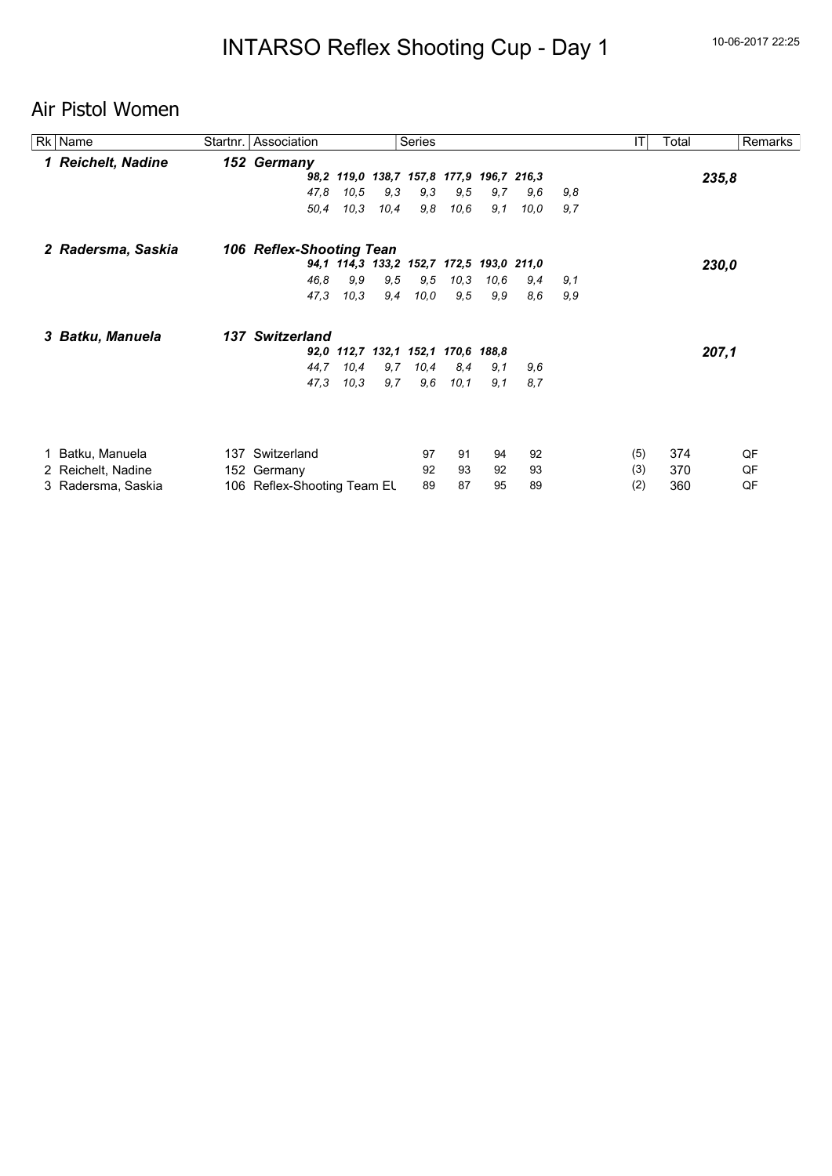## Air Pistol Women

| Rk   Name          | Startnr.   Association      |       |      | Series                                   |      |      |      |     | T   | Total | Remarks |
|--------------------|-----------------------------|-------|------|------------------------------------------|------|------|------|-----|-----|-------|---------|
| 1 Reichelt, Nadine | 152 Germany                 |       |      |                                          |      |      |      |     |     |       |         |
|                    |                             |       |      | 98,2 119,0 138,7 157,8 177,9 196,7 216,3 |      |      |      |     |     |       | 235,8   |
|                    | 47,8                        | 10, 5 | 9,3  | 9,3                                      | 9,5  | 9,7  | 9,6  | 9,8 |     |       |         |
|                    | 50,4                        | 10,3  | 10,4 | 9,8                                      | 10,6 | 9,1  | 10,0 | 9,7 |     |       |         |
| 2 Radersma, Saskia | 106 Reflex-Shooting Tean    |       |      |                                          |      |      |      |     |     |       |         |
|                    |                             |       |      | 94,1 114,3 133,2 152,7 172,5 193,0 211,0 |      |      |      |     |     |       | 230,0   |
|                    | 46.8                        | 9,9   | 9,5  | 9,5                                      | 10,3 | 10,6 | 9,4  | 9,1 |     |       |         |
|                    | 47,3                        | 10,3  | 9,4  | 10,0                                     | 9,5  | 9,9  | 8,6  | 9,9 |     |       |         |
| 3 Batku, Manuela   | 137 Switzerland             |       |      |                                          |      |      |      |     |     |       |         |
|                    |                             |       |      | 92,0 112,7 132,1 152,1 170,6 188,8       |      |      |      |     |     |       | 207,1   |
|                    | 44,7                        | 10,4  | 9,7  | 10,4                                     | 8,4  | 9,1  | 9,6  |     |     |       |         |
|                    | 47,3                        | 10,3  | 9,7  | 9,6                                      | 10,1 | 9,1  | 8,7  |     |     |       |         |
|                    |                             |       |      |                                          |      |      |      |     |     |       |         |
| 1 Batku, Manuela   | 137 Switzerland             |       |      | 97                                       | 91   | 94   | 92   |     | (5) | 374   | QF      |
| 2 Reichelt, Nadine | 152 Germany                 |       |      | 92                                       | 93   | 92   | 93   |     | (3) | 370   | QF      |
| 3 Radersma, Saskia | 106 Reflex-Shooting Team EL |       |      | 89                                       | 87   | 95   | 89   |     | (2) | 360   | QF      |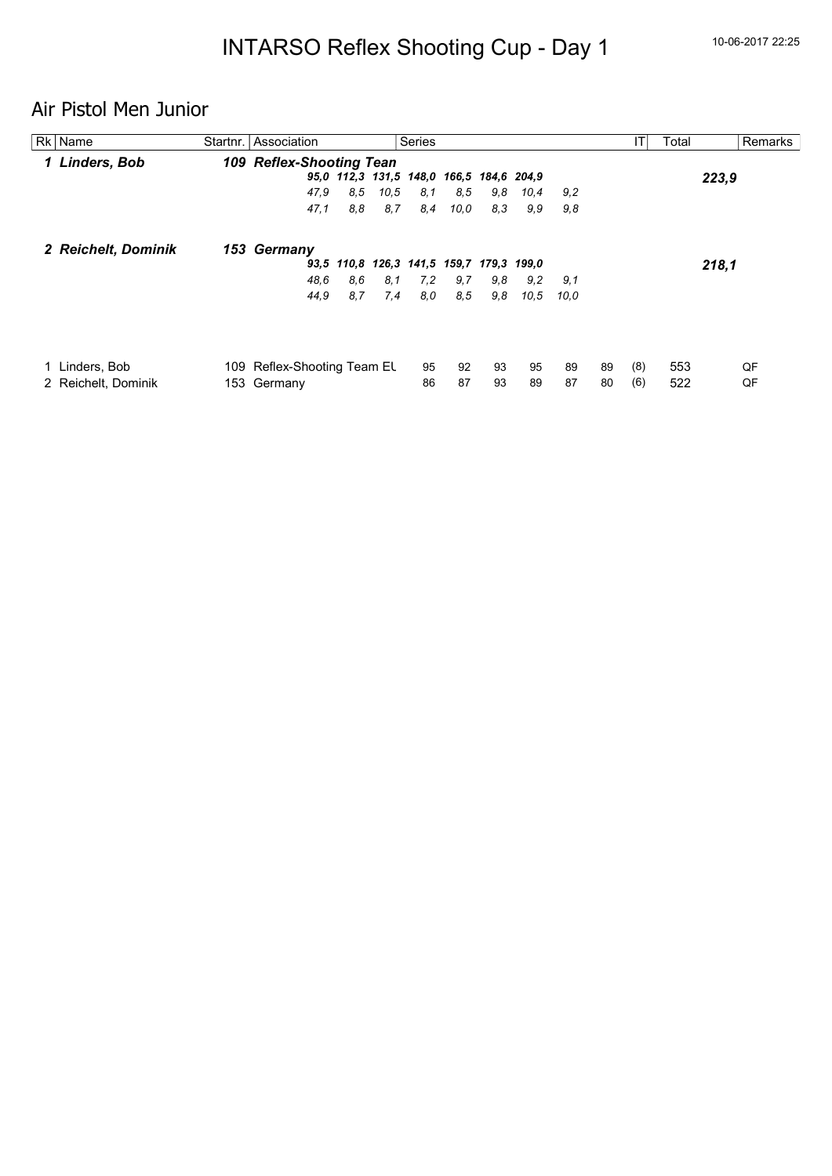# Air Pistol Men Junior

| Rk   Name           | <b>Series</b><br>Startnr. Association                     | ΙT        | Total | Remarks |
|---------------------|-----------------------------------------------------------|-----------|-------|---------|
| 1 Linders, Bob      | <b>109 Reflex-Shooting Tean</b>                           |           |       |         |
|                     | 95,0 112,3 131,5 148,0 166,5 184,6 204,9                  |           | 223,9 |         |
|                     | 47.9<br>8.5<br>8.5<br>10,5<br>8,1<br>9,8<br>10,4<br>9,2   |           |       |         |
|                     | 8.8<br>8,4<br>8,3<br>9.9<br>9,8<br>47,1<br>8,7<br>10,0    |           |       |         |
| 2 Reichelt, Dominik | 153 Germany                                               |           |       |         |
|                     | 93,5 110,8 126,3 141,5 159,7 179,3 199,0                  |           | 218,1 |         |
|                     | 48.6<br>8.6<br>8,1<br>7.2<br>9,7<br>9,8<br>9,2<br>9,1     |           |       |         |
|                     | 8.7<br>7,4<br>44,9<br>8,0<br>8.5<br>9,8<br>10.5<br>10.0   |           |       |         |
|                     |                                                           |           |       |         |
| Linders, Bob        | 92<br>93<br>95<br>95<br>89<br>109 Reflex-Shooting Team EL | (8)<br>89 | 553   | QF      |
| 2 Reichelt, Dominik | 86<br>87<br>87<br>153 Germany<br>93<br>89                 | 80<br>(6) | 522   | QF      |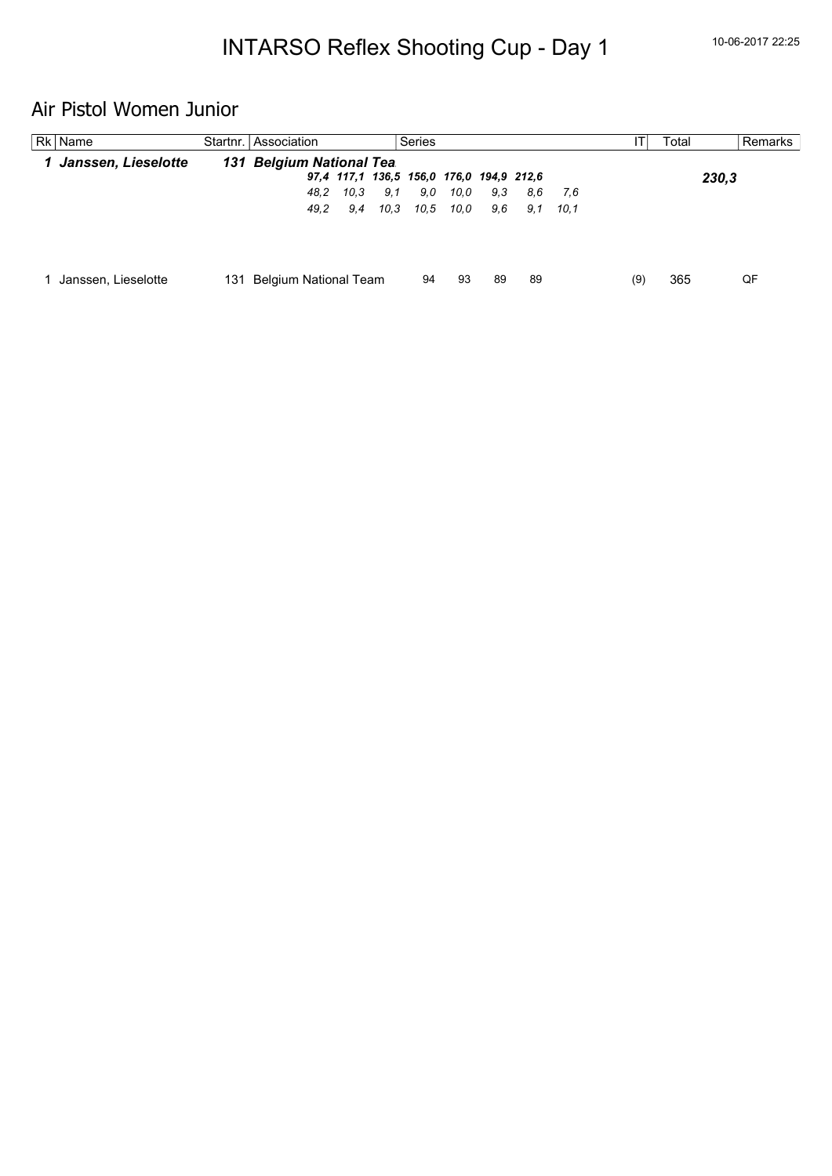# Air Pistol Women Junior

| Rk   Name             | Startnr. Association         | <b>Series</b>                            |     | Total | Remarks |
|-----------------------|------------------------------|------------------------------------------|-----|-------|---------|
| 1 Janssen, Lieselotte | 131 Belgium National Tea.    |                                          |     |       |         |
|                       |                              | 97,4 117,1 136,5 156,0 176,0 194,9 212,6 |     | 230,3 |         |
|                       | 10.3<br>9.1<br>48.2          | 9,0<br>10.0<br>9.3<br>8.6<br>7.6         |     |       |         |
|                       | 49,2<br>9.4<br>10.3          | 10.5<br>10.0<br>9.6<br>9,1<br>10.1       |     |       |         |
|                       |                              |                                          |     |       |         |
| Janssen, Lieselotte   | Belgium National Team<br>131 | 94<br>93<br>89<br>89                     | (9) | 365   | QF      |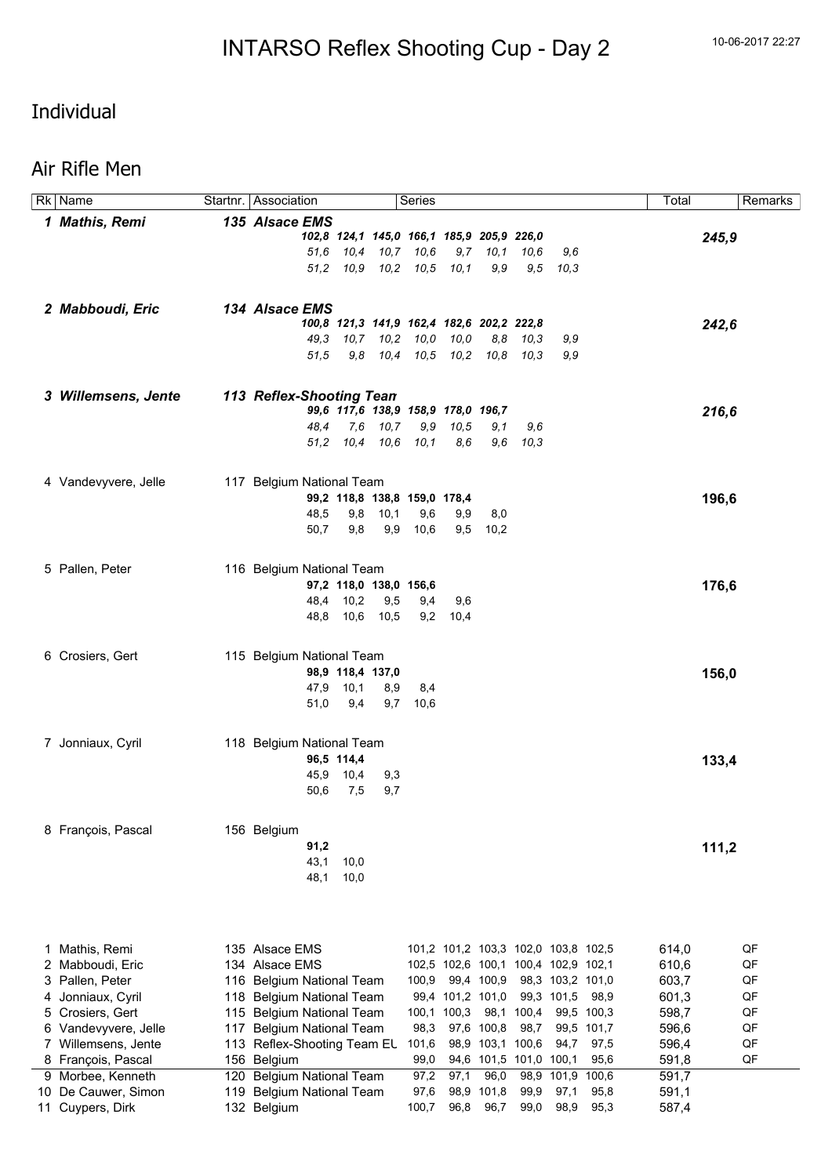Rk Name Startnr. Association Series Startnr. Series Total Remarks

## Individual

#### Air Rifle Men

| 1 Mathis, Remi       | 135 Alsace EMS                  |            |                                           |          |                                     |                  |                        |                  |            |       |       |
|----------------------|---------------------------------|------------|-------------------------------------------|----------|-------------------------------------|------------------|------------------------|------------------|------------|-------|-------|
|                      |                                 |            | 102,8 124,1 145,0 166,1 185,9 205,9 226,0 |          |                                     |                  |                        |                  |            |       | 245,9 |
|                      | 51.6                            |            | 10,4 10,7 10,6                            |          | 9,7                                 | 10,1             | 10,6                   | 9,6              |            |       |       |
|                      |                                 |            | 51,2 10,9 10,2 10,5 10,1                  |          |                                     | 9,9              |                        | $9,5$ $10,3$     |            |       |       |
|                      |                                 |            |                                           |          |                                     |                  |                        |                  |            |       |       |
|                      |                                 |            |                                           |          |                                     |                  |                        |                  |            |       |       |
| 2 Mabboudi, Eric     | 134 Alsace EMS                  |            |                                           |          |                                     |                  |                        |                  |            |       |       |
|                      |                                 |            | 100,8 121,3 141,9 162,4 182,6 202,2 222,8 |          |                                     |                  |                        |                  |            |       | 242,6 |
|                      |                                 |            | 49,3 10,7 10,2 10,0                       |          | 10,0                                | 8,8              | 10.3                   | 9,9              |            |       |       |
|                      | 51,5                            |            | 9,8 10,4 10,5 10,2                        |          |                                     |                  | 10.8 10.3              | 9,9              |            |       |       |
|                      |                                 |            |                                           |          |                                     |                  |                        |                  |            |       |       |
| 3 Willemsens, Jente  | <b>113 Reflex-Shooting Tean</b> |            |                                           |          |                                     |                  |                        |                  |            |       |       |
|                      |                                 |            | 99,6 117,6 138,9 158,9 178,0 196,7        |          |                                     |                  |                        |                  |            |       | 216,6 |
|                      | 48.4                            |            | 7,6 10,7                                  | 9,9      | 10,5                                | 9,1              | 9,6                    |                  |            |       |       |
|                      |                                 | 51,2       | 10,4 10,6 10,1                            |          | 8,6                                 | 9.6              | 10,3                   |                  |            |       |       |
|                      |                                 |            |                                           |          |                                     |                  |                        |                  |            |       |       |
| 4 Vandevyvere, Jelle | 117 Belgium National Team       |            |                                           |          |                                     |                  |                        |                  |            |       |       |
|                      |                                 |            | 99,2 118,8 138,8 159,0 178,4              |          |                                     |                  |                        |                  |            |       | 196,6 |
|                      | 48,5                            |            | 9,8<br>10,1                               | 9,6      | 9,9                                 | 8,0              |                        |                  |            |       |       |
|                      | 50,7                            | 9,8        |                                           | 9,9 10,6 | 9,5                                 | 10,2             |                        |                  |            |       |       |
|                      |                                 |            |                                           |          |                                     |                  |                        |                  |            |       |       |
| 5 Pallen, Peter      | 116 Belgium National Team       |            |                                           |          |                                     |                  |                        |                  |            |       |       |
|                      |                                 |            | 97,2 118,0 138,0 156,6                    |          |                                     |                  |                        |                  |            |       | 176,6 |
|                      |                                 | 48,4 10,2  | 9,5                                       | 9,4      | 9,6                                 |                  |                        |                  |            |       |       |
|                      |                                 |            | 48,8 10,6 10,5                            | 9,2      | 10,4                                |                  |                        |                  |            |       |       |
|                      |                                 |            |                                           |          |                                     |                  |                        |                  |            |       |       |
| 6 Crosiers, Gert     | 115 Belgium National Team       |            |                                           |          |                                     |                  |                        |                  |            |       |       |
|                      |                                 |            | 98,9 118,4 137,0                          |          |                                     |                  |                        |                  |            |       | 156,0 |
|                      | 47,9                            | 10,1       | 8,9                                       | 8,4      |                                     |                  |                        |                  |            |       |       |
|                      | 51,0                            | 9,4        | 9,7                                       | 10,6     |                                     |                  |                        |                  |            |       |       |
|                      |                                 |            |                                           |          |                                     |                  |                        |                  |            |       |       |
| 7 Jonniaux, Cyril    | 118 Belgium National Team       |            |                                           |          |                                     |                  |                        |                  |            |       |       |
|                      |                                 | 96,5 114,4 |                                           |          |                                     |                  |                        |                  |            |       | 133,4 |
|                      |                                 | 45,9 10,4  | 9,3                                       |          |                                     |                  |                        |                  |            |       |       |
|                      | 50,6                            | 7,5        | 9,7                                       |          |                                     |                  |                        |                  |            |       |       |
|                      |                                 |            |                                           |          |                                     |                  |                        |                  |            |       |       |
| 8 François, Pascal   | 156 Belgium                     |            |                                           |          |                                     |                  |                        |                  |            |       |       |
|                      | 91,2                            |            |                                           |          |                                     |                  |                        |                  |            |       | 111,2 |
|                      | 43,1                            | 10,0       |                                           |          |                                     |                  |                        |                  |            |       |       |
|                      | 48,1                            | 10,0       |                                           |          |                                     |                  |                        |                  |            |       |       |
|                      |                                 |            |                                           |          |                                     |                  |                        |                  |            |       |       |
|                      |                                 |            |                                           |          |                                     |                  |                        |                  |            |       |       |
|                      |                                 |            |                                           |          |                                     |                  |                        |                  |            |       |       |
| 1 Mathis, Remi       | 135 Alsace EMS                  |            |                                           |          | 101,2 101,2 103,3 102,0 103,8 102,5 |                  |                        |                  |            | 614,0 | QF    |
| 2 Mabboudi, Eric     | 134 Alsace EMS                  |            |                                           |          | 102,5 102,6 100,1 100,4 102,9 102,1 |                  |                        |                  |            | 610,6 | QF    |
| 3 Pallen, Peter      | 116 Belgium National Team       |            |                                           | 100,9    |                                     | 99,4 100,9       |                        | 98,3 103,2 101,0 |            | 603,7 | QF    |
| 4 Jonniaux, Cyril    | 118 Belgium National Team       |            |                                           |          | 99,4 101,2 101,0                    |                  |                        | 99,3 101,5       | 98,9       | 601,3 | QF    |
| 5 Crosiers, Gert     | 115 Belgium National Team       |            |                                           |          | 100,1 100,3                         |                  | 98,1 100,4             |                  | 99,5 100,3 | 598,7 | QF    |
| 6 Vandevyvere, Jelle | 117 Belgium National Team       |            |                                           | 98,3     |                                     | 97,6 100,8       | 98,7                   |                  | 99,5 101,7 | 596,6 | QF    |
| 7 Willemsens, Jente  | 113 Reflex-Shooting Team EL     |            |                                           | 101,6    |                                     | 98,9 103,1 100,6 |                        | 94,7             | 97,5       | 596,4 | QF    |
| 8 François, Pascal   | 156 Belgium                     |            |                                           | 99,0     |                                     |                  | 94,6 101,5 101,0 100,1 |                  | 95,6       | 591,8 | QF    |
| 9 Morbee, Kenneth    | 120 Belgium National Team       |            |                                           | 97,2     | 97,1                                | 96,0             |                        | 98,9 101,9       | 100,6      | 591,7 |       |
| 10 De Cauwer, Simon  |                                 |            |                                           | 97,6     |                                     | 98,9 101,8       | 99,9                   | 97,1             | 95,8       | 591,1 |       |
|                      | 119 Belgium National Team       |            |                                           | 100,7    | 96,8                                | 96,7             | 99,0                   |                  | 95,3       |       |       |
| 11 Cuypers, Dirk     | 132 Belgium                     |            |                                           |          |                                     |                  |                        | 98,9             |            | 587,4 |       |
|                      |                                 |            |                                           |          |                                     |                  |                        |                  |            |       |       |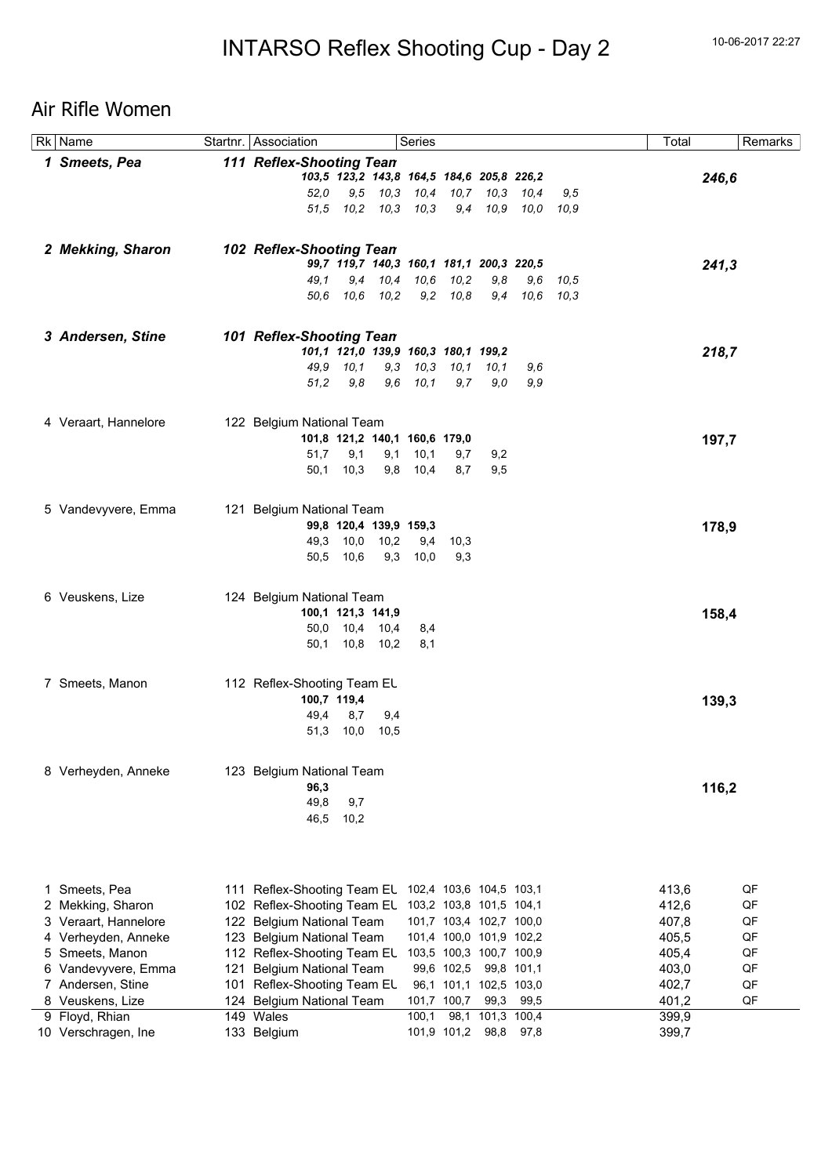## Air Rifle Women

| Rk Name                                |     | Startnr. Association                                     |                   |                        | Series                                    |                                       |                  |               |      | Total          |       | Remarks  |
|----------------------------------------|-----|----------------------------------------------------------|-------------------|------------------------|-------------------------------------------|---------------------------------------|------------------|---------------|------|----------------|-------|----------|
| 1 Smeets, Pea                          |     | <b>111 Reflex-Shooting Tean</b>                          |                   |                        |                                           |                                       |                  |               |      |                |       |          |
|                                        |     |                                                          |                   |                        | 103,5 123,2 143,8 164,5 184,6 205,8 226,2 |                                       |                  |               |      |                | 246,6 |          |
|                                        |     | 52.0                                                     |                   |                        | 9,5 10,3 10,4 10,7 10,3 10,4              |                                       |                  |               | 9,5  |                |       |          |
|                                        |     | 51,5                                                     |                   | 10,2 10,3 10,3         |                                           |                                       | 9,4 10,9         | 10.0 10.9     |      |                |       |          |
|                                        |     |                                                          |                   |                        |                                           |                                       |                  |               |      |                |       |          |
|                                        |     |                                                          |                   |                        |                                           |                                       |                  |               |      |                |       |          |
| 2 Mekking, Sharon                      |     | 102 Reflex-Shooting Tean                                 |                   |                        |                                           |                                       |                  |               |      |                |       |          |
|                                        |     |                                                          |                   |                        | 99,7 119,7 140,3 160,1 181,1 200,3 220,5  |                                       |                  |               |      |                | 241,3 |          |
|                                        |     | 49.1                                                     |                   | 9,4 10,4 10,6          |                                           | 10,2                                  | 9,8              | 9,6           | 10,5 |                |       |          |
|                                        |     | 50.6                                                     |                   | 10,6 10,2              |                                           | $9,2$ $10,8$                          |                  | 9.4 10.6 10.3 |      |                |       |          |
|                                        |     |                                                          |                   |                        |                                           |                                       |                  |               |      |                |       |          |
| 3 Andersen, Stine                      |     | 101 Reflex-Shooting Tean                                 |                   |                        |                                           |                                       |                  |               |      |                |       |          |
|                                        |     |                                                          |                   |                        | 101,1 121,0 139,9 160,3 180,1 199,2       |                                       |                  |               |      |                | 218,7 |          |
|                                        |     |                                                          | 49,9 10,1         |                        | 9,3 10,3 10,1 10,1                        |                                       |                  | 9,6           |      |                |       |          |
|                                        |     | 51,2                                                     | 9,8               |                        | $9,6$ $10,1$                              | 9,7                                   | 9.0              | 9,9           |      |                |       |          |
|                                        |     |                                                          |                   |                        |                                           |                                       |                  |               |      |                |       |          |
|                                        |     |                                                          |                   |                        |                                           |                                       |                  |               |      |                |       |          |
| 4 Veraart, Hannelore                   |     | 122 Belgium National Team                                |                   |                        |                                           |                                       |                  |               |      |                |       |          |
|                                        |     |                                                          |                   |                        | 101,8 121,2 140,1 160,6 179,0             |                                       |                  |               |      |                | 197,7 |          |
|                                        |     | 51,7                                                     | 9,1               | 9,1                    | 10,1                                      | 9,7                                   | 9,2              |               |      |                |       |          |
|                                        |     | 50,1                                                     | 10,3              |                        | 9,8 10,4                                  | 8,7                                   | 9,5              |               |      |                |       |          |
|                                        |     |                                                          |                   |                        |                                           |                                       |                  |               |      |                |       |          |
| 5 Vandevyvere, Emma                    |     | 121 Belgium National Team                                |                   |                        |                                           |                                       |                  |               |      |                |       |          |
|                                        |     |                                                          |                   | 99,8 120,4 139,9 159,3 |                                           |                                       |                  |               |      |                | 178,9 |          |
|                                        |     | 49,3                                                     |                   | 10,0 10,2              | 9,4                                       | 10,3                                  |                  |               |      |                |       |          |
|                                        |     | 50,5                                                     | 10,6              |                        | $9,3$ 10,0                                | 9,3                                   |                  |               |      |                |       |          |
|                                        |     |                                                          |                   |                        |                                           |                                       |                  |               |      |                |       |          |
| 6 Veuskens, Lize                       |     | 124 Belgium National Team                                |                   |                        |                                           |                                       |                  |               |      |                |       |          |
|                                        |     |                                                          | 100,1 121,3 141,9 |                        |                                           |                                       |                  |               |      |                | 158,4 |          |
|                                        |     |                                                          |                   | 50,0 10,4 10,4         | 8,4                                       |                                       |                  |               |      |                |       |          |
|                                        |     |                                                          |                   | 50,1 10,8 10,2         | 8,1                                       |                                       |                  |               |      |                |       |          |
|                                        |     |                                                          |                   |                        |                                           |                                       |                  |               |      |                |       |          |
|                                        |     |                                                          |                   |                        |                                           |                                       |                  |               |      |                |       |          |
| 7 Smeets, Manon                        |     | 112 Reflex-Shooting Team EL                              |                   |                        |                                           |                                       |                  |               |      |                |       |          |
|                                        |     |                                                          | 100,7 119,4       |                        |                                           |                                       |                  |               |      |                | 139,3 |          |
|                                        |     | 49,4                                                     | 8,7               | 9,4                    |                                           |                                       |                  |               |      |                |       |          |
|                                        |     | 51,3                                                     | 10,0              | 10,5                   |                                           |                                       |                  |               |      |                |       |          |
|                                        |     |                                                          |                   |                        |                                           |                                       |                  |               |      |                |       |          |
| 8 Verheyden, Anneke                    |     | 123 Belgium National Team                                |                   |                        |                                           |                                       |                  |               |      |                |       |          |
|                                        |     | 96,3                                                     |                   |                        |                                           |                                       |                  |               |      |                | 116,2 |          |
|                                        |     | 49,8                                                     | 9,7               |                        |                                           |                                       |                  |               |      |                |       |          |
|                                        |     | 46,5                                                     | 10,2              |                        |                                           |                                       |                  |               |      |                |       |          |
|                                        |     |                                                          |                   |                        |                                           |                                       |                  |               |      |                |       |          |
|                                        |     |                                                          |                   |                        |                                           |                                       |                  |               |      |                |       |          |
|                                        |     |                                                          |                   |                        |                                           |                                       |                  |               |      |                |       |          |
| 1 Smeets, Pea                          |     | 111 Reflex-Shooting Team EL                              |                   |                        |                                           | 102,4 103,6 104,5 103,1               |                  |               |      | 413,6          |       | QF       |
| 2 Mekking, Sharon                      |     | 102 Reflex-Shooting Team EL                              |                   |                        |                                           | 103,2 103,8 101,5 104,1               |                  |               |      | 412,6          |       | QF       |
|                                        |     | 122 Belgium National Team                                |                   |                        |                                           | 101,7 103,4 102,7 100,0               |                  |               |      |                |       | QF       |
| 3 Veraart, Hannelore                   |     | 123 Belgium National Team                                |                   |                        |                                           | 101,4 100,0 101,9 102,2               |                  |               |      | 407,8          |       | QF       |
| 4 Verheyden, Anneke<br>5 Smeets, Manon |     |                                                          |                   |                        |                                           |                                       |                  |               |      | 405,5          |       |          |
| 6 Vandevyvere, Emma                    |     | 112 Reflex-Shooting Team EL                              |                   |                        |                                           | 103,5 100,3 100,7 100,9<br>99,6 102,5 |                  |               |      | 405,4          |       | QF       |
| 7 Andersen, Stine                      | 121 | <b>Belgium National Team</b>                             |                   |                        |                                           | 96,1 101,1 102,5 103,0                | 99,8 101,1       |               |      | 403,0          |       | QF<br>QF |
| 8 Veuskens, Lize                       |     | 101 Reflex-Shooting Team EL<br>124 Belgium National Team |                   |                        |                                           | 101,7 100,7                           |                  | 99,3 99,5     |      | 402,7<br>401,2 |       | QF       |
| 9 Floyd, Rhian                         |     | 149 Wales                                                |                   |                        | 100,1                                     |                                       | 98,1 101,3 100,4 |               |      | 399,9          |       |          |
| 10 Verschragen, Ine                    |     | 133 Belgium                                              |                   |                        |                                           | 101,9 101,2                           | 98,8             | 97,8          |      | 399,7          |       |          |
|                                        |     |                                                          |                   |                        |                                           |                                       |                  |               |      |                |       |          |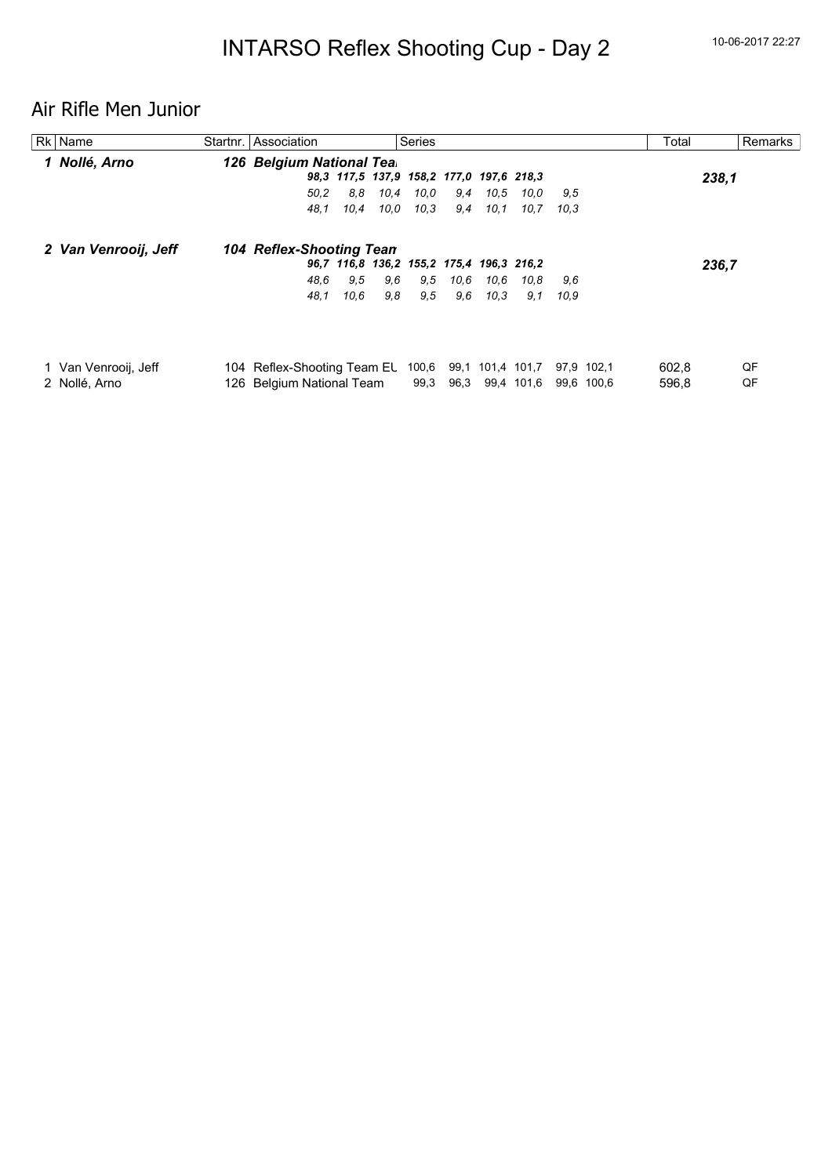# Air Rifle Men Junior

| Rk Name              | Startnr. Association        |      |      | Series                                   |      |      |                  |      |            | Total |       | Remarks |
|----------------------|-----------------------------|------|------|------------------------------------------|------|------|------------------|------|------------|-------|-------|---------|
| 1 Nollé, Arno        | 126 Belgium National Tea.   |      |      |                                          |      |      |                  |      |            |       |       |         |
|                      |                             |      |      | 98,3 117,5 137,9 158,2 177,0 197,6 218,3 |      |      |                  |      |            |       | 238,1 |         |
|                      | 50,2                        | 8.8  | 10,4 | 10.0                                     | 9,4  | 10,5 | 10.0             | 9.5  |            |       |       |         |
|                      | 48.1                        | 10,4 | 10.0 | 10.3                                     | 9,4  | 10.1 | 10,7             | 10,3 |            |       |       |         |
| 2 Van Venrooij, Jeff | 104 Reflex-Shooting Tean    |      |      |                                          |      |      |                  |      |            |       |       |         |
|                      |                             |      |      | 96,7 116,8 136,2 155,2 175,4 196,3 216,2 |      |      |                  |      |            |       | 236,7 |         |
|                      | 48.6                        | 9,5  | 9,6  | 9,5                                      | 10.6 | 10.6 | 10,8             | 9.6  |            |       |       |         |
|                      | 48.1                        | 10,6 | 9,8  | 9,5                                      | 9,6  | 10.3 | 9,1              | 10.9 |            |       |       |         |
|                      |                             |      |      |                                          |      |      |                  |      |            |       |       |         |
| 1 Van Venrooij, Jeff | 104 Reflex-Shooting Team EL |      |      | 100,6                                    |      |      | 99,1 101,4 101,7 |      | 97,9 102,1 | 602,8 |       | QF      |
| 2 Nollé, Arno        | 126 Belgium National Team   |      |      | 99,3                                     | 96,3 |      | 99,4 101,6       | 99,6 | 100.6      | 596,8 |       | QF      |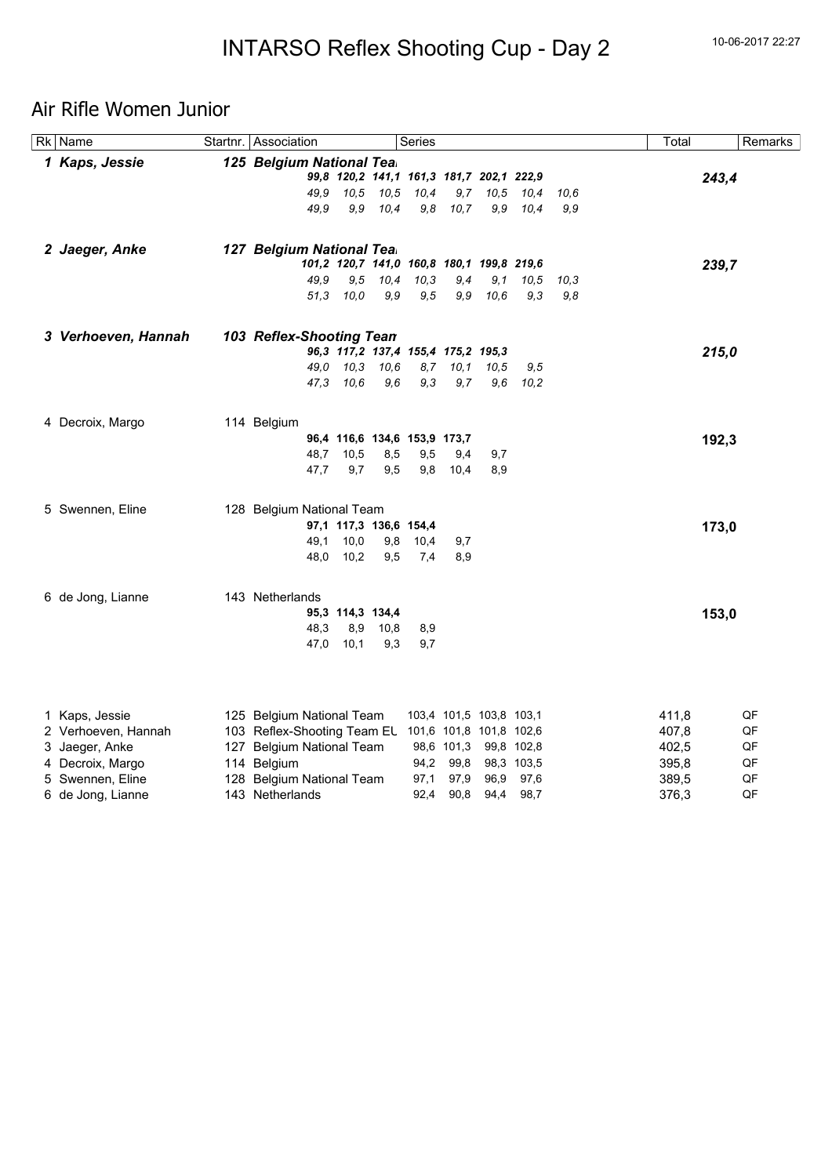## Air Rifle Women Junior

| Rk Name             | Startnr. Association                                |                              |      | Series       |                                           |      |              |      | Total | Remarks  |
|---------------------|-----------------------------------------------------|------------------------------|------|--------------|-------------------------------------------|------|--------------|------|-------|----------|
| 1 Kaps, Jessie      | 125 Belgium National Tea.                           |                              |      |              |                                           |      |              |      |       |          |
|                     |                                                     |                              |      |              | 99,8 120,2 141,1 161,3 181,7 202,1 222,9  |      |              |      |       | 243,4    |
|                     | 49,9                                                | 10,5                         | 10,5 | 10,4         | 9,7                                       | 10,5 | 10,4         | 10.6 |       |          |
|                     | 49.9                                                | 9.9                          | 10,4 | 9,8          | 10,7                                      | 9.9  | 10,4         | 9,9  |       |          |
| 2 Jaeger, Anke      | 127 Belgium National Tea.                           |                              |      |              |                                           |      |              |      |       |          |
|                     |                                                     |                              |      |              | 101,2 120,7 141,0 160,8 180,1 199,8 219,6 |      |              |      |       | 239,7    |
|                     | 49,9                                                | 9,5                          | 10,4 | 10,3         | 9,4                                       | 9,1  | 10,5         | 10,3 |       |          |
|                     | 51,3                                                | 10,0                         | 9,9  | 9,5          | 9,9                                       | 10,6 | 9,3          | 9,8  |       |          |
| 3 Verhoeven, Hannah | 103 Reflex-Shooting Tean                            |                              |      |              |                                           |      |              |      |       |          |
|                     |                                                     |                              |      |              | 96,3 117,2 137,4 155,4 175,2 195,3        |      |              |      |       | 215,0    |
|                     | 49.0                                                | 10.3                         | 10,6 | 8,7          | 10,1                                      | 10,5 | 9,5          |      |       |          |
|                     | 47.3                                                | 10,6                         | 9,6  | 9,3          | 9,7                                       | 9,6  | 10,2         |      |       |          |
| 4 Decroix, Margo    | 114 Belgium                                         |                              |      |              |                                           |      |              |      |       |          |
|                     |                                                     | 96,4 116,6 134,6 153,9 173,7 |      |              |                                           |      |              |      |       | 192,3    |
|                     | 48,7                                                | 10,5                         | 8,5  | 9,5          | 9,4                                       | 9,7  |              |      |       |          |
|                     | 47.7                                                | 9,7                          | 9,5  | 9,8          | 10,4                                      | 8,9  |              |      |       |          |
| 5 Swennen, Eline    | 128 Belgium National Team                           |                              |      |              |                                           |      |              |      |       |          |
|                     |                                                     | 97,1 117,3 136,6 154,4       |      |              |                                           |      |              |      |       | 173,0    |
|                     | 49,1                                                | 10,0                         | 9,8  | 10,4         | 9,7                                       |      |              |      |       |          |
|                     | 48,0                                                | 10,2                         | 9,5  | 7,4          | 8,9                                       |      |              |      |       |          |
| 6 de Jong, Lianne   | 143 Netherlands                                     |                              |      |              |                                           |      |              |      |       |          |
|                     |                                                     | 95,3 114,3 134,4             |      |              |                                           |      |              |      |       | 153,0    |
|                     | 48,3                                                | 8,9                          | 10,8 | 8,9          |                                           |      |              |      |       |          |
|                     | 47,0                                                | 10,1                         | 9,3  | 9,7          |                                           |      |              |      |       |          |
|                     |                                                     |                              |      |              |                                           |      |              |      |       |          |
| 1 Kaps, Jessie      | 125 Belgium National Team                           |                              |      |              | 103,4 101,5 103,8 103,1                   |      |              |      | 411,8 | QF       |
| 2 Verhoeven, Hannah | 103 Reflex-Shooting Team EL 101,6 101,8 101,8 102,6 |                              |      |              |                                           |      |              |      | 407,8 | QF       |
| 3 Jaeger, Anke      | 127 Belgium National Team                           |                              |      |              | 98,6 101,3 99,8 102,8                     |      |              |      | 402,5 | QF       |
| 4 Decroix, Margo    | 114 Belgium                                         |                              |      |              | 94,2 99,8                                 |      | 98,3 103,5   |      | 395,8 | QF       |
| 5 Swennen, Eline    | 128 Belgium National Team                           |                              |      | 97,1<br>92,4 | 97,9<br>90,8                              | 96,9 | 97,6<br>98,7 |      | 389,5 | QF<br>QF |
| 6 de Jong, Lianne   | 143 Netherlands                                     |                              |      |              |                                           | 94,4 |              |      | 376,3 |          |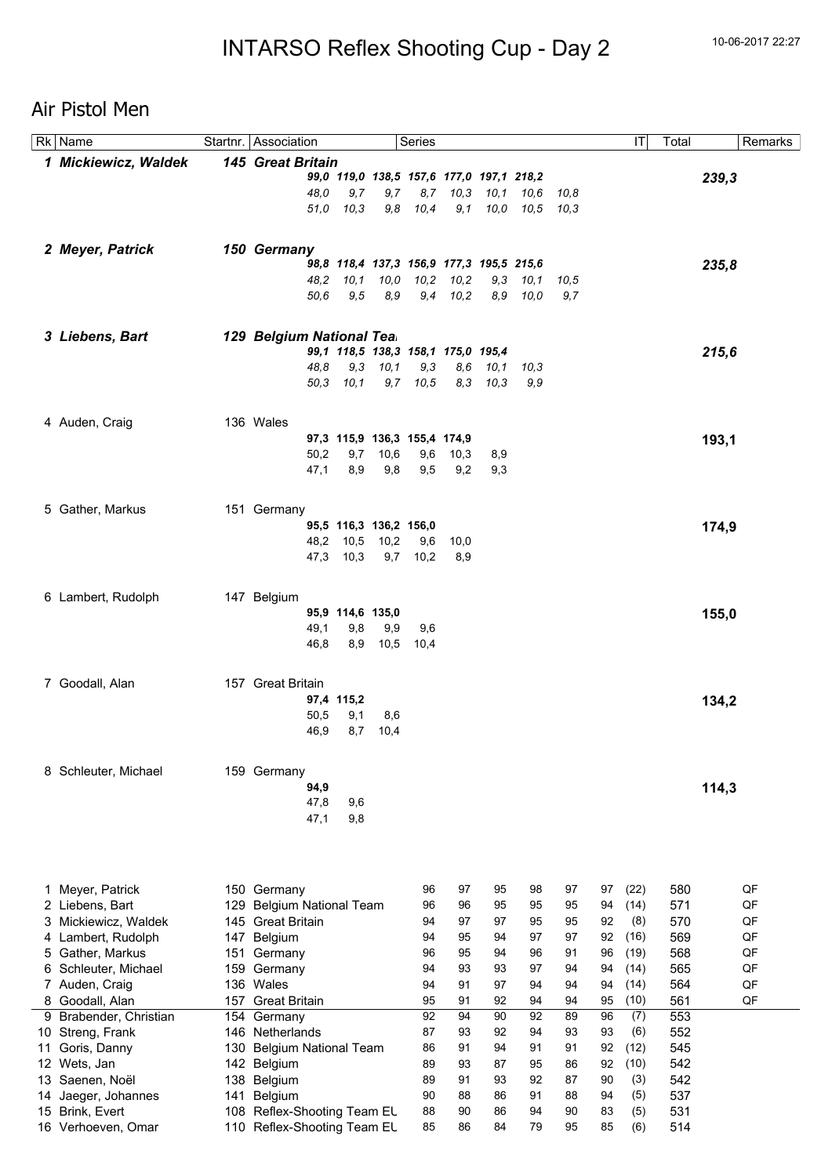## Air Pistol Men

|    | Rk Name              |     | Startnr.   Association       |                        |              | Series                       |                                          |              |             |      |    | IT   | Total |       | Remarks |
|----|----------------------|-----|------------------------------|------------------------|--------------|------------------------------|------------------------------------------|--------------|-------------|------|----|------|-------|-------|---------|
|    | 1 Mickiewicz, Waldek |     | 145 Great Britain            |                        |              |                              |                                          |              |             |      |    |      |       |       |         |
|    |                      |     |                              |                        |              |                              | 99,0 119,0 138,5 157,6 177,0 197,1 218,2 |              |             |      |    |      |       | 239,3 |         |
|    |                      |     | 48.0                         | 9,7                    | 9,7          | 8,7                          | 10,3                                     | 10,1         | 10,6        | 10,8 |    |      |       |       |         |
|    |                      |     | 51,0                         | 10,3                   | 9,8          | 10,4                         | 9,1                                      | 10,0         | 10.5        | 10,3 |    |      |       |       |         |
|    |                      |     |                              |                        |              |                              |                                          |              |             |      |    |      |       |       |         |
|    |                      |     |                              |                        |              |                              |                                          |              |             |      |    |      |       |       |         |
|    | 2 Meyer, Patrick     |     | 150 Germany                  |                        |              |                              | 98,8 118,4 137,3 156,9 177,3 195,5 215,6 |              |             |      |    |      |       | 235,8 |         |
|    |                      |     | 48.2                         | 10, 1                  | 10,0         | 10,2                         | 10,2                                     | 9,3          | 10, 1       | 10,5 |    |      |       |       |         |
|    |                      |     | 50.6                         | 9,5                    | 8,9          | 9,4                          | 10,2                                     | 8,9          | 10,0        | 9,7  |    |      |       |       |         |
|    |                      |     |                              |                        |              |                              |                                          |              |             |      |    |      |       |       |         |
|    |                      |     |                              |                        |              |                              |                                          |              |             |      |    |      |       |       |         |
|    | 3 Liebens, Bart      |     | 129 Belgium National Tea.    |                        |              |                              |                                          |              |             |      |    |      |       |       |         |
|    |                      |     |                              |                        |              |                              | 99,1 118,5 138,3 158,1 175,0 195,4       |              |             |      |    |      |       | 215,6 |         |
|    |                      |     | 48.8                         | 9,3<br>50,3 10,1       | 10, 1<br>9,7 | 9,3<br>10,5                  | 8,6<br>8,3                               | 10,1<br>10,3 | 10,3<br>9,9 |      |    |      |       |       |         |
|    |                      |     |                              |                        |              |                              |                                          |              |             |      |    |      |       |       |         |
|    |                      |     |                              |                        |              |                              |                                          |              |             |      |    |      |       |       |         |
|    | 4 Auden, Craig       |     | 136 Wales                    |                        |              |                              |                                          |              |             |      |    |      |       |       |         |
|    |                      |     |                              |                        |              | 97,3 115,9 136,3 155,4 174,9 |                                          |              |             |      |    |      |       | 193,1 |         |
|    |                      |     | 50,2                         | 9,7                    | 10,6         | 9,6                          | 10,3                                     | 8,9          |             |      |    |      |       |       |         |
|    |                      |     | 47,1                         | 8,9                    | 9,8          | 9,5                          | 9,2                                      | 9,3          |             |      |    |      |       |       |         |
|    |                      |     |                              |                        |              |                              |                                          |              |             |      |    |      |       |       |         |
|    | 5 Gather, Markus     |     | 151 Germany                  |                        |              |                              |                                          |              |             |      |    |      |       |       |         |
|    |                      |     |                              | 95,5 116,3 136,2 156,0 |              |                              |                                          |              |             |      |    |      |       | 174,9 |         |
|    |                      |     | 48,2                         | 10,5                   | 10,2         | 9,6                          | 10,0                                     |              |             |      |    |      |       |       |         |
|    |                      |     | 47,3                         | 10,3                   | 9,7          | 10,2                         | 8,9                                      |              |             |      |    |      |       |       |         |
|    |                      |     |                              |                        |              |                              |                                          |              |             |      |    |      |       |       |         |
|    | 6 Lambert, Rudolph   |     | 147 Belgium                  |                        |              |                              |                                          |              |             |      |    |      |       |       |         |
|    |                      |     |                              | 95,9 114,6 135,0       |              |                              |                                          |              |             |      |    |      |       | 155,0 |         |
|    |                      |     | 49,1                         | 9,8                    | 9,9          | 9,6                          |                                          |              |             |      |    |      |       |       |         |
|    |                      |     | 46,8                         | 8,9                    | 10,5         | 10,4                         |                                          |              |             |      |    |      |       |       |         |
|    |                      |     |                              |                        |              |                              |                                          |              |             |      |    |      |       |       |         |
|    | 7 Goodall, Alan      |     | 157 Great Britain            |                        |              |                              |                                          |              |             |      |    |      |       |       |         |
|    |                      |     |                              | 97,4 115,2             |              |                              |                                          |              |             |      |    |      |       | 134,2 |         |
|    |                      |     | 50,5                         | 9,1                    | 8,6          |                              |                                          |              |             |      |    |      |       |       |         |
|    |                      |     | 46,9                         | 8,7                    | 10,4         |                              |                                          |              |             |      |    |      |       |       |         |
|    |                      |     |                              |                        |              |                              |                                          |              |             |      |    |      |       |       |         |
|    |                      |     | 159 Germany                  |                        |              |                              |                                          |              |             |      |    |      |       |       |         |
| 8  | Schleuter, Michael   |     | 94,9                         |                        |              |                              |                                          |              |             |      |    |      |       |       |         |
|    |                      |     | 47,8                         | 9,6                    |              |                              |                                          |              |             |      |    |      |       | 114,3 |         |
|    |                      |     | 47,1                         | 9,8                    |              |                              |                                          |              |             |      |    |      |       |       |         |
|    |                      |     |                              |                        |              |                              |                                          |              |             |      |    |      |       |       |         |
|    |                      |     |                              |                        |              |                              |                                          |              |             |      |    |      |       |       |         |
|    |                      |     |                              |                        |              |                              |                                          |              |             |      |    |      |       |       |         |
|    | Meyer, Patrick       |     | 150 Germany                  |                        |              | 96                           | 97                                       | 95           | 98          | 97   | 97 | (22) | 580   |       | QF      |
| 1  | 2 Liebens, Bart      | 129 | <b>Belgium National Team</b> |                        |              | 96                           | 96                                       | 95           | 95          | 95   | 94 | (14) | 571   |       | QF      |
| 3. | Mickiewicz, Waldek   |     | 145 Great Britain            |                        |              | 94                           | 97                                       | 97           | 95          | 95   | 92 | (8)  | 570   |       | QF      |
| 4  | Lambert, Rudolph     | 147 | Belgium                      |                        |              | 94                           | 95                                       | 94           | 97          | 97   | 92 | (16) | 569   |       | QF      |
| 5. | Gather, Markus       | 151 | Germany                      |                        |              | 96                           | 95                                       | 94           | 96          | 91   | 96 | (19) | 568   |       | QF      |
|    | 6 Schleuter, Michael | 159 | Germany                      |                        |              | 94                           | 93                                       | 93           | 97          | 94   | 94 | (14) | 565   |       | QF      |
|    | 7 Auden, Craig       |     | 136 Wales                    |                        |              | 94                           | 91                                       | 97           | 94          | 94   | 94 | (14) | 564   |       | QF      |
| 8  | Goodall, Alan        | 157 | <b>Great Britain</b>         |                        |              | 95                           | 91                                       | 92           | 94          | 94   | 95 | (10) | 561   |       | QF      |
| 9  | Brabender, Christian |     | 154 Germany                  |                        |              | 92                           | 94                                       | 90           | 92          | 89   | 96 | (7)  | 553   |       |         |
|    | 10 Streng, Frank     |     | 146 Netherlands              |                        |              | 87                           | 93                                       | 92           | 94          | 93   | 93 | (6)  | 552   |       |         |
| 11 | Goris, Danny         | 130 | <b>Belgium National Team</b> |                        |              | 86                           | 91                                       | 94           | 91          | 91   | 92 | (12) | 545   |       |         |
|    | 12 Wets, Jan         |     | 142 Belgium                  |                        |              | 89                           | 93                                       | 87           | 95          | 86   | 92 | (10) | 542   |       |         |
| 13 | Saenen, Noël         | 138 | Belgium                      |                        |              | 89                           | 91                                       | 93           | 92          | 87   | 90 | (3)  | 542   |       |         |
|    | 14 Jaeger, Johannes  | 141 | Belgium                      |                        |              | 90                           | 88                                       | 86           | 91          | 88   | 94 | (5)  | 537   |       |         |
|    | 15 Brink, Evert      | 108 | Reflex-Shooting Team EL      |                        |              | 88                           | 90                                       | 86           | 94          | 90   | 83 | (5)  | 531   |       |         |
|    | 16 Verhoeven, Omar   |     | 110 Reflex-Shooting Team EL  |                        |              | 85                           | 86                                       | 84           | 79          | 95   | 85 | (6)  | 514   |       |         |
|    |                      |     |                              |                        |              |                              |                                          |              |             |      |    |      |       |       |         |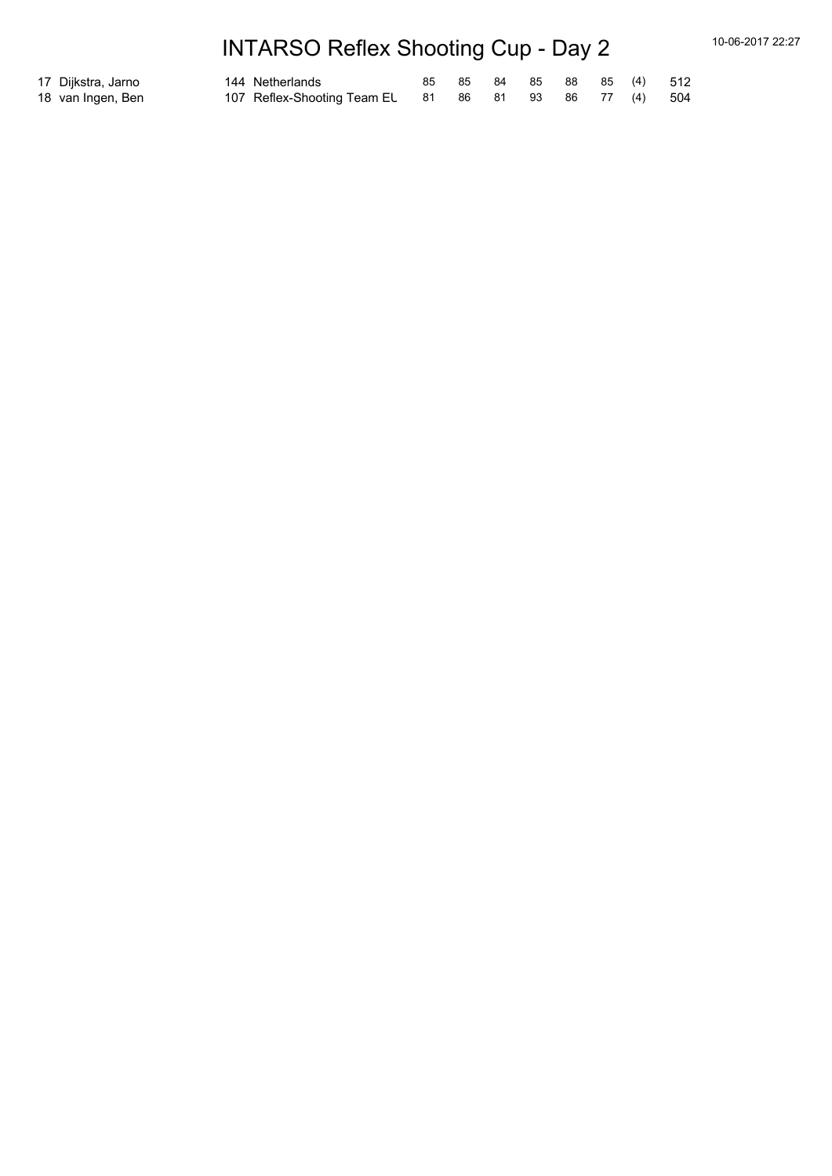# INTARSO Reflex Shooting Cup - Day 2 10-06-2017 22:27

| 17  Dijkstra, Jarno | 144 Netherlands                                       |  |  |  | 85 85 84 85 88 85 (4) 512 |
|---------------------|-------------------------------------------------------|--|--|--|---------------------------|
| 18 van Ingen, Ben   | 107 Reflex-Shooting Team EL 81 86 81 93 86 77 (4) 504 |  |  |  |                           |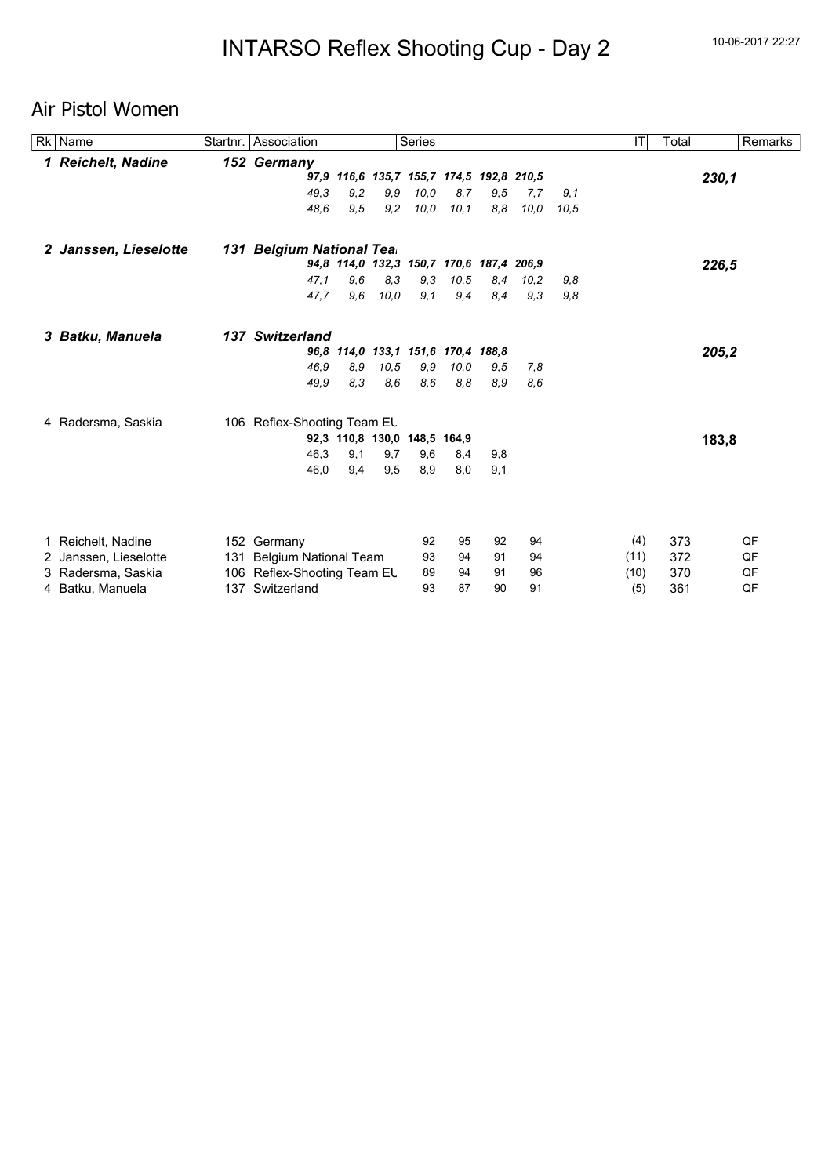## Air Pistol Women

| Rk Name               |     | Startnr. Association         |                  |      | <b>Series</b> |                                          |     |      |      | IT   | Total | Remarks |
|-----------------------|-----|------------------------------|------------------|------|---------------|------------------------------------------|-----|------|------|------|-------|---------|
| 1 Reichelt, Nadine    |     | 152 Germany                  |                  |      |               |                                          |     |      |      |      |       |         |
|                       |     |                              |                  |      |               | 97,9 116,6 135,7 155,7 174,5 192,8 210,5 |     |      |      |      |       | 230,1   |
|                       |     | 49.3                         | 9,2              | 9.9  | 10,0          | 8,7                                      | 9.5 | 7,7  | 9,1  |      |       |         |
|                       |     | 48.6                         | 9,5              | 9,2  | 10,0          | 10,1                                     | 8,8 | 10,0 | 10.5 |      |       |         |
| 2 Janssen, Lieselotte |     | 131 Belgium National Tea.    |                  |      |               |                                          |     |      |      |      |       |         |
|                       |     |                              |                  |      |               | 94,8 114,0 132,3 150,7 170,6 187,4 206,9 |     |      |      |      |       | 226,5   |
|                       |     | 47.1                         | 9,6              | 8,3  | 9.3           | 10,5                                     | 8,4 | 10,2 | 9,8  |      |       |         |
|                       |     | 47,7                         | 9,6              | 10.0 | 9,1           | 9,4                                      | 8,4 | 9.3  | 9,8  |      |       |         |
| 3 Batku, Manuela      |     | 137 Switzerland              |                  |      |               |                                          |     |      |      |      |       |         |
|                       |     |                              |                  |      |               | 96,8 114,0 133,1 151,6 170,4 188,8       |     |      |      |      |       | 205,2   |
|                       |     | 46.9                         | 8,9              | 10,5 | 9,9           | 10,0                                     | 9,5 | 7,8  |      |      |       |         |
|                       |     | 49,9                         | 8,3              | 8,6  | 8,6           | 8,8                                      | 8.9 | 8.6  |      |      |       |         |
| 4 Radersma, Saskia    |     | 106 Reflex-Shooting Team EL  |                  |      |               |                                          |     |      |      |      |       |         |
|                       |     |                              | 92,3 110,8 130,0 |      | 148,5 164,9   |                                          |     |      |      |      |       | 183,8   |
|                       |     | 46.3                         | 9,1              | 9,7  | 9,6           | 8,4                                      | 9,8 |      |      |      |       |         |
|                       |     | 46,0                         | 9,4              | 9,5  | 8,9           | 8,0                                      | 9,1 |      |      |      |       |         |
|                       |     |                              |                  |      |               |                                          |     |      |      |      |       |         |
| 1 Reichelt, Nadine    |     | 152 Germany                  |                  |      | 92            | 95                                       | 92  | 94   |      | (4)  | 373   | QF      |
| 2 Janssen, Lieselotte | 131 | <b>Belgium National Team</b> |                  |      | 93            | 94                                       | 91  | 94   |      | (11) | 372   | QF      |
| 3 Radersma, Saskia    |     | 106 Reflex-Shooting Team EL  |                  |      | 89            | 94                                       | 91  | 96   |      | (10) | 370   | QF      |
| 4 Batku, Manuela      |     | 137 Switzerland              |                  |      | 93            | 87                                       | 90  | 91   |      | (5)  | 361   | QF      |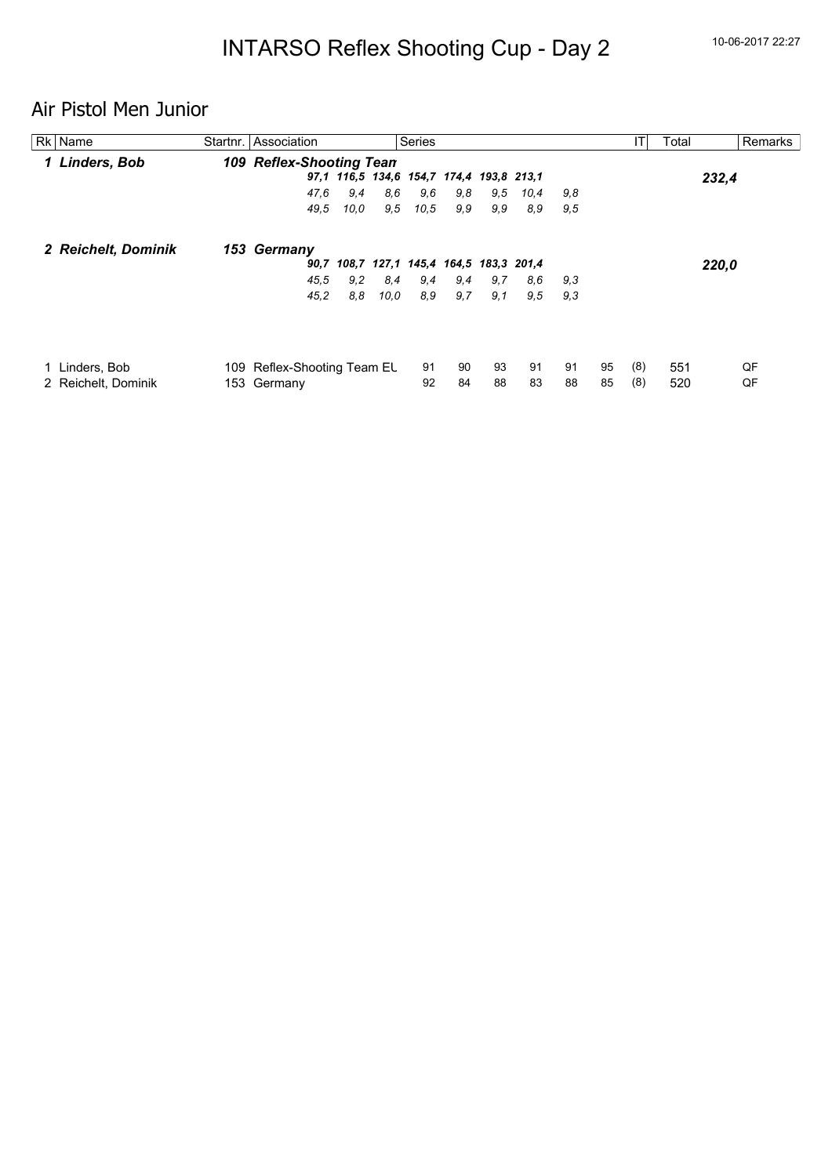# Air Pistol Men Junior

| Rk Name             | Startnr. Association        |      |      | <b>Series</b>                            |     |     |      |     |    | ΙT  | Total |       | Remarks |
|---------------------|-----------------------------|------|------|------------------------------------------|-----|-----|------|-----|----|-----|-------|-------|---------|
| 1 Linders, Bob      | 109 Reflex-Shooting Tean    |      |      |                                          |     |     |      |     |    |     |       |       |         |
|                     |                             |      |      | 97,1 116,5 134,6 154,7 174,4 193,8 213,1 |     |     |      |     |    |     |       | 232,4 |         |
|                     | 47,6                        | 9,4  | 8,6  | 9,6                                      | 9,8 | 9,5 | 10,4 | 9,8 |    |     |       |       |         |
|                     | 49.5                        | 10.0 | 9,5  | 10,5                                     | 9,9 | 9.9 | 8,9  | 9,5 |    |     |       |       |         |
| 2 Reichelt, Dominik | 153 Germany                 |      |      |                                          |     |     |      |     |    |     |       |       |         |
|                     |                             |      |      | 90,7 108,7 127,1 145,4 164,5 183,3 201,4 |     |     |      |     |    |     |       | 220,0 |         |
|                     | 45.5                        | 9,2  | 8,4  | 9,4                                      | 9,4 | 9,7 | 8,6  | 9,3 |    |     |       |       |         |
|                     | 45,2                        | 8,8  | 10.0 | 8,9                                      | 9,7 | 9,1 | 9,5  | 9.3 |    |     |       |       |         |
|                     |                             |      |      |                                          |     |     |      |     |    |     |       |       |         |
| Linders, Bob        | 109 Reflex-Shooting Team EL |      |      | 91                                       | 90  | 93  | 91   | 91  | 95 | (8) | 551   |       | QF      |
| 2 Reichelt, Dominik | 153 Germany                 |      |      | 92                                       | 84  | 88  | 83   | 88  | 85 | (8) | 520   |       | QF      |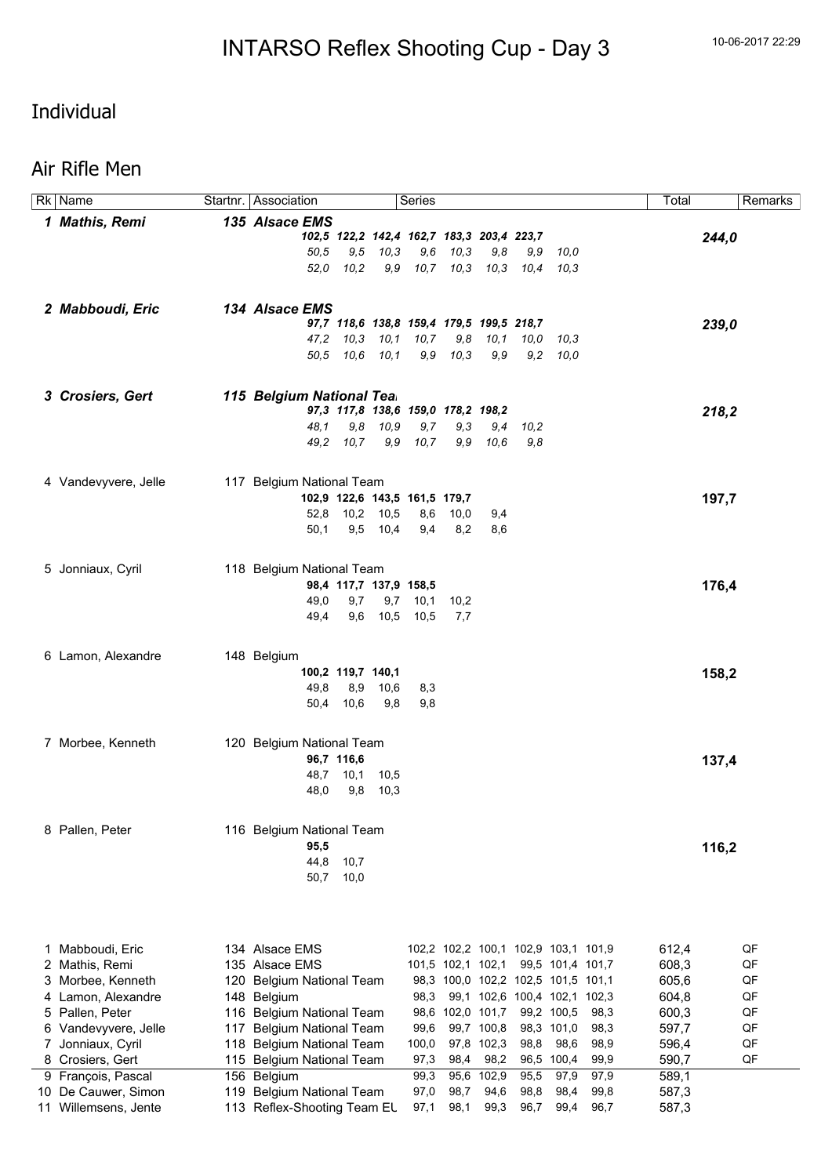## Individual

#### Air Rifle Men

|     | Rk Name              | Startnr. Association        |                          |           | Series                                    |                   |            |                                     |                  |      | Total |       | Remarks |
|-----|----------------------|-----------------------------|--------------------------|-----------|-------------------------------------------|-------------------|------------|-------------------------------------|------------------|------|-------|-------|---------|
|     | 1 Mathis, Remi       | 135 Alsace EMS              |                          |           |                                           |                   |            |                                     |                  |      |       |       |         |
|     |                      |                             |                          |           | 102,5 122,2 142,4 162,7 183,3 203,4 223,7 |                   |            |                                     |                  |      |       | 244,0 |         |
|     |                      | 50,5                        | 9,5                      | 10,3      | 9,6                                       | 10,3              | 9,8        | 9,9                                 | 10,0             |      |       |       |         |
|     |                      | 52,0                        | 10,2                     | 9,9       | 10,7                                      | 10,3              | 10,3       | 10,4                                | 10,3             |      |       |       |         |
|     |                      |                             |                          |           |                                           |                   |            |                                     |                  |      |       |       |         |
|     | 2 Mabboudi, Eric     | 134 Alsace EMS              |                          |           |                                           |                   |            |                                     |                  |      |       |       |         |
|     |                      |                             |                          |           | 97,7 118,6 138,8 159,4 179,5 199,5 218,7  |                   |            |                                     |                  |      |       | 239,0 |         |
|     |                      | 47,2                        | 10,3                     | 10,1      | 10, 7                                     | 9,8               | 10,1       | 10,0                                | 10,3             |      |       |       |         |
|     |                      |                             | 50,5 10,6 10,1           |           | 9,9                                       | 10,3              | 9,9        | 9,2                                 | 10,0             |      |       |       |         |
|     |                      |                             |                          |           |                                           |                   |            |                                     |                  |      |       |       |         |
|     | 3 Crosiers, Gert     | 115 Belgium National Tea.   |                          |           |                                           |                   |            |                                     |                  |      |       |       |         |
|     |                      |                             |                          |           | 97,3 117,8 138,6 159,0 178,2 198,2        |                   |            |                                     |                  |      |       | 218,2 |         |
|     |                      | 48.1                        | 9,8                      | 10,9      | 9,7                                       | 9,3               | 9,4        | 10,2                                |                  |      |       |       |         |
|     |                      | 49,2                        | 10,7                     | 9,9       | 10,7                                      | 9,9               | 10.6       | 9,8                                 |                  |      |       |       |         |
|     |                      |                             |                          |           |                                           |                   |            |                                     |                  |      |       |       |         |
|     | 4 Vandevyvere, Jelle | 117 Belgium National Team   |                          |           |                                           |                   |            |                                     |                  |      |       |       |         |
|     |                      |                             |                          |           | 102,9 122,6 143,5 161,5 179,7             |                   |            |                                     |                  |      |       | 197,7 |         |
|     |                      | 52,8                        |                          | 10,2 10,5 | 8,6                                       | 10,0              | 9,4        |                                     |                  |      |       |       |         |
|     |                      | 50,1                        | 9,5                      | 10,4      | 9,4                                       | 8,2               | 8,6        |                                     |                  |      |       |       |         |
|     |                      |                             |                          |           |                                           |                   |            |                                     |                  |      |       |       |         |
|     |                      | 118 Belgium National Team   |                          |           |                                           |                   |            |                                     |                  |      |       |       |         |
|     | 5 Jonniaux, Cyril    |                             | 98,4 117,7 137,9 158,5   |           |                                           |                   |            |                                     |                  |      |       |       |         |
|     |                      | 49,0                        | 9,7                      | 9,7       | 10,1                                      | 10,2              |            |                                     |                  |      |       | 176,4 |         |
|     |                      | 49,4                        | 9,6                      | 10,5      | 10,5                                      | 7,7               |            |                                     |                  |      |       |       |         |
|     |                      |                             |                          |           |                                           |                   |            |                                     |                  |      |       |       |         |
|     |                      |                             |                          |           |                                           |                   |            |                                     |                  |      |       |       |         |
|     | 6 Lamon, Alexandre   | 148 Belgium                 |                          |           |                                           |                   |            |                                     |                  |      |       |       |         |
|     |                      | 49,8                        | 100,2 119,7 140,1<br>8,9 | 10,6      | 8,3                                       |                   |            |                                     |                  |      |       | 158,2 |         |
|     |                      | 50,4                        | 10,6                     | 9,8       | 9,8                                       |                   |            |                                     |                  |      |       |       |         |
|     |                      |                             |                          |           |                                           |                   |            |                                     |                  |      |       |       |         |
|     |                      |                             |                          |           |                                           |                   |            |                                     |                  |      |       |       |         |
|     | 7 Morbee, Kenneth    | 120 Belgium National Team   |                          |           |                                           |                   |            |                                     |                  |      |       |       |         |
|     |                      | 48,7                        | 96,7 116,6<br>10,1       | 10,5      |                                           |                   |            |                                     |                  |      |       | 137,4 |         |
|     |                      | 48,0                        | 9,8                      | 10,3      |                                           |                   |            |                                     |                  |      |       |       |         |
|     |                      |                             |                          |           |                                           |                   |            |                                     |                  |      |       |       |         |
|     |                      |                             |                          |           |                                           |                   |            |                                     |                  |      |       |       |         |
|     | 8 Pallen, Peter      | 116 Belgium National Team   |                          |           |                                           |                   |            |                                     |                  |      |       |       |         |
|     |                      | 95,5<br>44,8                |                          |           |                                           |                   |            |                                     |                  |      |       | 116,2 |         |
|     |                      | 50,7                        | 10,7<br>10,0             |           |                                           |                   |            |                                     |                  |      |       |       |         |
|     |                      |                             |                          |           |                                           |                   |            |                                     |                  |      |       |       |         |
|     |                      |                             |                          |           |                                           |                   |            |                                     |                  |      |       |       |         |
|     |                      |                             |                          |           |                                           |                   |            |                                     |                  |      |       |       |         |
|     | Mabboudi, Eric       | 134 Alsace EMS              |                          |           |                                           |                   |            | 102,2 102,2 100,1 102,9 103,1 101,9 |                  |      | 612,4 |       | QF      |
| 1   | 2 Mathis, Remi       | 135 Alsace EMS              |                          |           |                                           | 101,5 102,1 102,1 |            |                                     | 99,5 101,4 101,7 |      | 608,3 |       | QF      |
| 3   | Morbee, Kenneth      | 120 Belgium National Team   |                          |           |                                           |                   |            | 98,3 100,0 102,2 102,5 101,5 101,1  |                  |      | 605,6 |       | QF      |
| 4   | Lamon, Alexandre     | 148 Belgium                 |                          |           | 98,3                                      |                   |            | 99,1 102,6 100,4 102,1 102,3        |                  |      | 604,8 |       | QF      |
| 5   | Pallen, Peter        | 116 Belgium National Team   |                          |           |                                           | 98,6 102,0 101,7  |            |                                     | 99,2 100,5       | 98,3 | 600,3 |       | QF      |
| 6   | Vandevyvere, Jelle   | 117 Belgium National Team   |                          |           | 99,6                                      |                   | 99,7 100,8 |                                     | 98,3 101,0       | 98,3 | 597,7 |       | QF      |
| 7   | Jonniaux, Cyril      | 118 Belgium National Team   |                          |           | 100,0                                     |                   | 97,8 102,3 | 98,8                                | 98,6             | 98,9 | 596,4 |       | QF      |
|     | 8 Crosiers, Gert     | 115 Belgium National Team   |                          |           | 97,3                                      | 98,4              | 98,2       | 96,5                                | 100,4            | 99,9 | 590,7 |       | QF      |
|     | 9 François, Pascal   | 156 Belgium                 |                          |           | 99,3                                      |                   | 95,6 102,9 | 95,5                                | 97,9             | 97,9 | 589,1 |       |         |
| 10. | De Cauwer, Simon     | 119 Belgium National Team   |                          |           | 97,0                                      | 98,7              | 94,6       | 98,8                                | 98,4             | 99,8 | 587,3 |       |         |
|     | 11 Willemsens, Jente | 113 Reflex-Shooting Team EL |                          |           | 97,1                                      | 98,1              | 99,3       | 96,7                                | 99,4             | 96,7 | 587,3 |       |         |
|     |                      |                             |                          |           |                                           |                   |            |                                     |                  |      |       |       |         |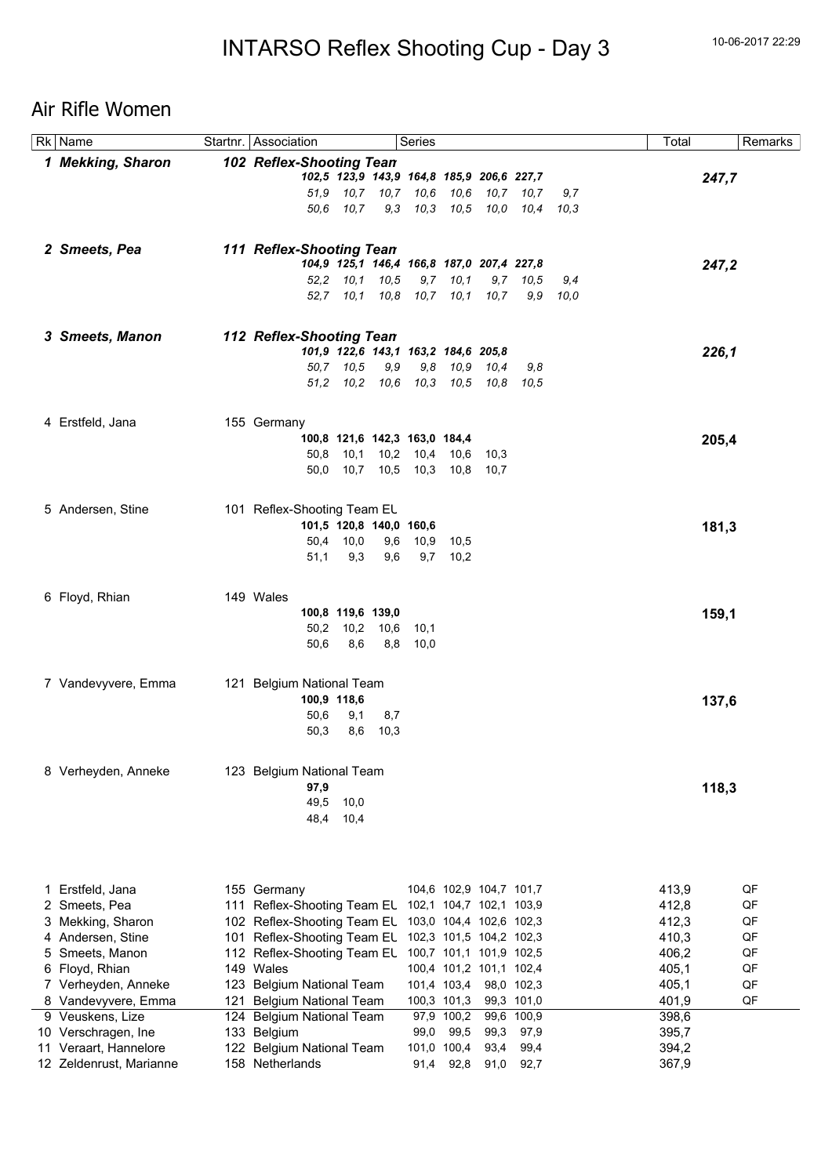## Air Rifle Women

| Rk Name                 | Startnr. Association        |            |                                           | Series   |                         |           |                |              | Total |       | Remarks |
|-------------------------|-----------------------------|------------|-------------------------------------------|----------|-------------------------|-----------|----------------|--------------|-------|-------|---------|
| 1 Mekking, Sharon       | 102 Reflex-Shooting Tean    |            |                                           |          |                         |           |                |              |       |       |         |
|                         |                             |            | 102,5 123,9 143,9 164,8 185,9 206,6 227,7 |          |                         |           |                |              |       | 247,7 |         |
|                         |                             |            | 51,9 10,7 10,7 10,6 10,6                  |          |                         |           | 10,7 10,7      | 9,7          |       |       |         |
|                         | 50.6                        | 10.7       |                                           |          | 9,3 10,3 10,5           |           | 10,0 10,4 10,3 |              |       |       |         |
|                         |                             |            |                                           |          |                         |           |                |              |       |       |         |
|                         |                             |            |                                           |          |                         |           |                |              |       |       |         |
| 2 Smeets, Pea           | 111 Reflex-Shooting Tean    |            |                                           |          |                         |           |                |              |       |       |         |
|                         |                             |            | 104,9 125,1 146,4 166,8 187,0 207,4 227,8 |          |                         |           |                |              |       | 247,2 |         |
|                         |                             |            | 52,2 10,1 10,5                            |          | $9,7$ 10,1              |           | $9,7$ $10,5$   | 9,4          |       |       |         |
|                         |                             |            | 52,7 10,1 10,8 10,7 10,1                  |          |                         | 10,7      |                | $9.9$ $10.0$ |       |       |         |
|                         |                             |            |                                           |          |                         |           |                |              |       |       |         |
|                         |                             |            |                                           |          |                         |           |                |              |       |       |         |
| 3 Smeets, Manon         | 112 Reflex-Shooting Tean    |            |                                           |          |                         |           |                |              |       |       |         |
|                         |                             |            | 101,9 122,6 143,1 163,2 184,6 205,8       |          |                         |           |                |              |       | 226,1 |         |
|                         |                             | 50,7 10,5  | 9,9                                       | 9,8      | 10,9                    | 10,4      | 9,8            |              |       |       |         |
|                         |                             |            | 51,2 10,2 10,6 10,3 10,5                  |          |                         | 10,8 10,5 |                |              |       |       |         |
|                         |                             |            |                                           |          |                         |           |                |              |       |       |         |
| 4 Erstfeld, Jana        | 155 Germany                 |            |                                           |          |                         |           |                |              |       |       |         |
|                         |                             |            | 100,8 121,6 142,3 163,0 184,4             |          |                         |           |                |              |       | 205,4 |         |
|                         |                             |            | 50,8 10,1 10,2 10,4 10,6                  |          |                         | 10,3      |                |              |       |       |         |
|                         | 50,0                        |            | 10,7 10,5 10,3 10,8                       |          |                         | - 10,7    |                |              |       |       |         |
|                         |                             |            |                                           |          |                         |           |                |              |       |       |         |
|                         |                             |            |                                           |          |                         |           |                |              |       |       |         |
| 5 Andersen, Stine       | 101 Reflex-Shooting Team EL |            |                                           |          |                         |           |                |              |       |       |         |
|                         |                             |            | 101,5 120,8 140,0 160,6                   |          |                         |           |                |              |       | 181,3 |         |
|                         | 50,4                        | 10,0       | 9,6                                       |          | 10,9 10,5               |           |                |              |       |       |         |
|                         | 51,1                        | 9,3        | 9,6                                       |          | $9,7$ 10,2              |           |                |              |       |       |         |
|                         |                             |            |                                           |          |                         |           |                |              |       |       |         |
|                         |                             |            |                                           |          |                         |           |                |              |       |       |         |
| 6 Floyd, Rhian          | 149 Wales                   |            |                                           |          |                         |           |                |              |       |       |         |
|                         |                             |            | 100,8 119,6 139,0                         |          |                         |           |                |              |       | 159,1 |         |
|                         | 50,2                        |            | 10,2 10,6 10,1                            |          |                         |           |                |              |       |       |         |
|                         | 50,6                        | 8,6        |                                           | 8,8 10,0 |                         |           |                |              |       |       |         |
|                         |                             |            |                                           |          |                         |           |                |              |       |       |         |
| 7 Vandevyvere, Emma     | 121 Belgium National Team   |            |                                           |          |                         |           |                |              |       |       |         |
|                         | 100,9 118,6                 |            |                                           |          |                         |           |                |              |       |       |         |
|                         | 50,6                        |            |                                           |          |                         |           |                |              |       | 137,6 |         |
|                         | 50,3                        | 9,1<br>8,6 | 8,7<br>10,3                               |          |                         |           |                |              |       |       |         |
|                         |                             |            |                                           |          |                         |           |                |              |       |       |         |
|                         |                             |            |                                           |          |                         |           |                |              |       |       |         |
| 8 Verheyden, Anneke     | 123 Belgium National Team   |            |                                           |          |                         |           |                |              |       |       |         |
|                         | 97,9                        |            |                                           |          |                         |           |                |              |       | 118,3 |         |
|                         | 49,5                        | 10,0       |                                           |          |                         |           |                |              |       |       |         |
|                         | 48,4                        | 10,4       |                                           |          |                         |           |                |              |       |       |         |
|                         |                             |            |                                           |          |                         |           |                |              |       |       |         |
|                         |                             |            |                                           |          |                         |           |                |              |       |       |         |
|                         |                             |            |                                           |          |                         |           |                |              |       |       |         |
|                         |                             |            |                                           |          |                         |           |                |              |       |       |         |
| 1 Erstfeld, Jana        | 155 Germany                 |            |                                           |          | 104,6 102,9 104,7 101,7 |           |                |              | 413,9 |       | QF      |
| 2 Smeets, Pea           | 111 Reflex-Shooting Team EL |            |                                           |          | 102,1 104,7 102,1 103,9 |           |                |              | 412,8 |       | QF      |
| 3 Mekking, Sharon       | 102 Reflex-Shooting Team EL |            |                                           |          | 103,0 104,4 102,6 102,3 |           |                |              | 412,3 |       | QF      |
| 4 Andersen, Stine       | 101 Reflex-Shooting Team EL |            |                                           |          | 102,3 101,5 104,2 102,3 |           |                |              | 410,3 |       | QF      |
| 5 Smeets, Manon         | 112 Reflex-Shooting Team EL |            |                                           |          | 100,7 101,1 101,9 102,5 |           |                |              | 406,2 |       | QF      |
| 6 Floyd, Rhian          | 149 Wales                   |            |                                           |          | 100,4 101,2 101,1 102,4 |           |                |              | 405,1 |       | QF      |
| 7 Verheyden, Anneke     | 123 Belgium National Team   |            |                                           |          | 101,4 103,4             |           | 98,0 102,3     |              | 405,1 |       | QF      |
| 8 Vandevyvere, Emma     | 121 Belgium National Team   |            |                                           |          | 100,3 101,3             |           | 99,3 101,0     |              | 401,9 |       | QF      |
| 9 Veuskens, Lize        | 124 Belgium National Team   |            |                                           |          | 97,9 100,2              |           | 99,6 100,9     |              | 398,6 |       |         |
| 10 Verschragen, Ine     | 133 Belgium                 |            |                                           | 99,0     | 99,5                    | 99,3      | 97,9           |              | 395,7 |       |         |
| 11 Veraart, Hannelore   | 122 Belgium National Team   |            |                                           |          | 101,0 100,4             | 93,4      | 99,4           |              | 394,2 |       |         |
| 12 Zeldenrust, Marianne | 158 Netherlands             |            |                                           |          | 91,4 92,8               | 91,0      | 92,7           |              | 367,9 |       |         |
|                         |                             |            |                                           |          |                         |           |                |              |       |       |         |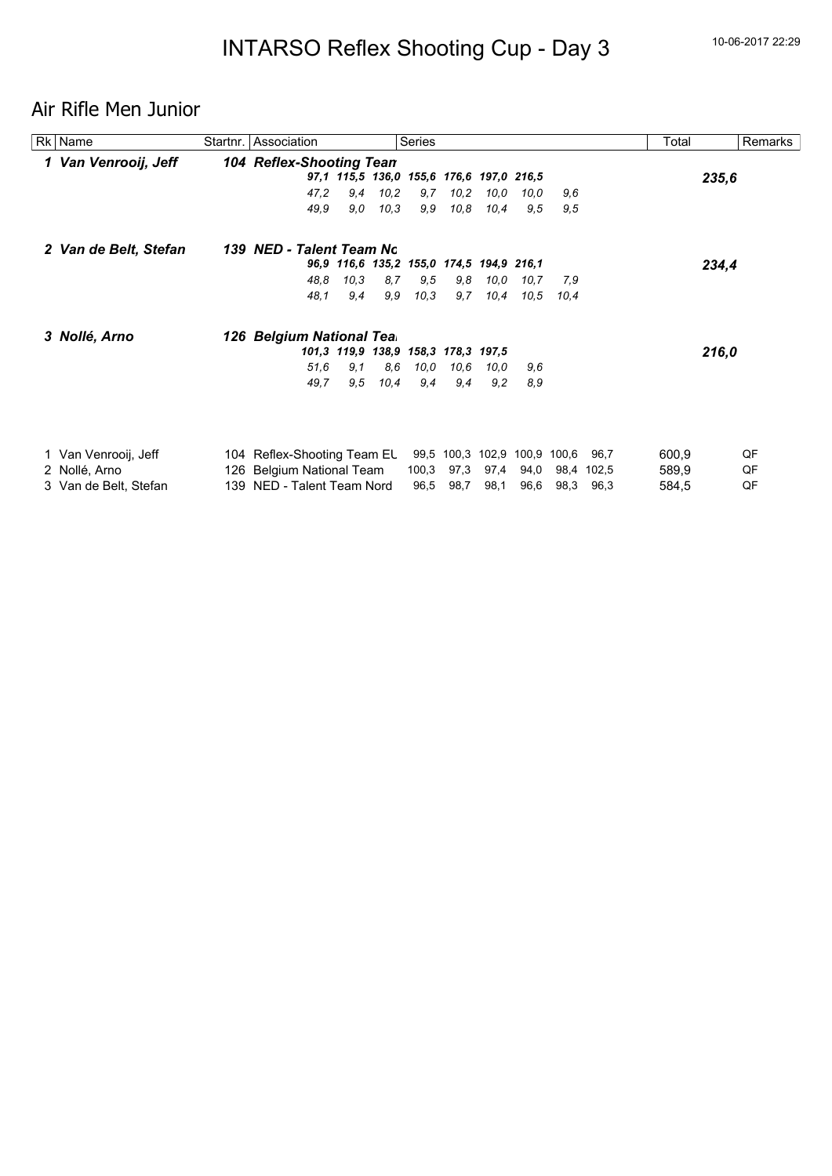## Air Rifle Men Junior

| Rk Name               |     | Startnr. Association            |                   |      | Series                                   |                   |       |       |       |       | Total | Remarks |  |
|-----------------------|-----|---------------------------------|-------------------|------|------------------------------------------|-------------------|-------|-------|-------|-------|-------|---------|--|
| 1 Van Venrooij, Jeff  |     | <b>104 Reflex-Shooting Tean</b> |                   |      |                                          |                   |       |       |       |       |       |         |  |
|                       |     |                                 |                   |      | 97,1 115,5 136,0 155,6 176,6 197,0 216,5 |                   |       |       |       |       |       | 235,6   |  |
|                       |     | 47,2                            | 9,4               | 10,2 | 9,7                                      | 10,2              | 10,0  | 10,0  | 9.6   |       |       |         |  |
|                       |     | 49,9                            | 9,0               | 10.3 | 9,9                                      | 10,8              | 10,4  | 9,5   | 9,5   |       |       |         |  |
| 2 Van de Belt, Stefan |     | 139 NED - Talent Team No        |                   |      |                                          |                   |       |       |       |       |       |         |  |
|                       |     |                                 |                   |      | 96,9 116,6 135,2 155,0 174,5 194,9 216,1 |                   |       |       |       |       |       | 234,4   |  |
|                       |     | 48,8                            | 10,3              | 8,7  | 9,5                                      | 9,8               | 10,0  | 10,7  | 7.9   |       |       |         |  |
|                       |     | 48,1                            | 9,4               | 9,9  | 10,3                                     | 9,7               | 10,4  | 10,5  | 10.4  |       |       |         |  |
| 3 Nollé, Arno         |     | 126 Belgium National Tea.       |                   |      |                                          |                   |       |       |       |       |       |         |  |
|                       |     |                                 | 101,3 119,9 138,9 |      |                                          | 158,3 178,3 197,5 |       |       |       |       |       | 216,0   |  |
|                       |     | 51,6                            | 9,1               | 8,6  | 10,0                                     | 10,6              | 10,0  | 9,6   |       |       |       |         |  |
|                       |     | 49,7                            | 9,5               | 10,4 | 9,4                                      | 9,4               | 9,2   | 8,9   |       |       |       |         |  |
|                       |     |                                 |                   |      |                                          |                   |       |       |       |       |       |         |  |
| 1 Van Venrooij, Jeff  |     | 104 Reflex-Shooting Team EL     |                   |      |                                          | 99,5 100,3        | 102,9 | 100,9 | 100,6 | 96.7  | 600,9 | QF      |  |
| 2 Nollé, Arno         |     | 126 Belgium National Team       |                   |      | 100,3                                    | 97,3              | 97,4  | 94,0  | 98,4  | 102,5 | 589,9 | QF      |  |
| 3 Van de Belt, Stefan | 139 | NED - Talent Team Nord          |                   |      | 96,5                                     | 98,7              | 98,1  | 96,6  | 98,3  | 96,3  | 584,5 | QF      |  |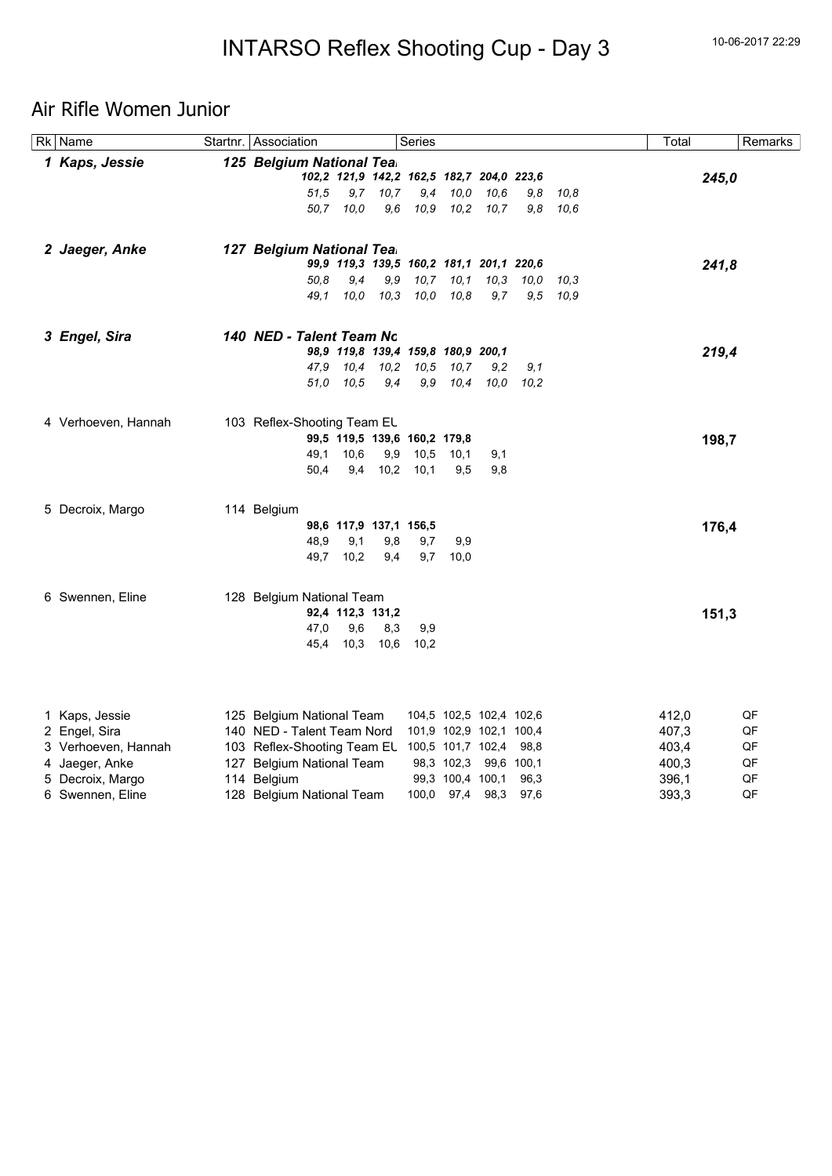## Air Rifle Women Junior

| <b>Rk</b> Name      | Startnr. Association        |           |                              | Series |                                           |       |              |      | Total |       | Remarks  |
|---------------------|-----------------------------|-----------|------------------------------|--------|-------------------------------------------|-------|--------------|------|-------|-------|----------|
| 1 Kaps, Jessie      | 125 Belgium National Tea.   |           |                              |        |                                           |       |              |      |       |       |          |
|                     |                             |           |                              |        | 102,2 121,9 142,2 162,5 182,7 204,0 223,6 |       |              |      |       | 245,0 |          |
|                     | 51,5                        | 9,7       | 10.7                         | 9,4    | 10,0                                      | 10.6  | 9.8          | 10,8 |       |       |          |
|                     |                             | 50,7 10,0 | 9,6                          | 10,9   | 10,2                                      | 10, 7 | 9,8          | 10,6 |       |       |          |
| 2 Jaeger, Anke      | 127 Belgium National Tea.   |           |                              |        |                                           |       |              |      |       |       |          |
|                     |                             |           |                              |        | 99,9 119,3 139,5 160,2 181,1 201,1 220,6  |       |              |      |       | 241,8 |          |
|                     | 50.8                        | 9,4       | 9,9                          | 10,7   | 10,1                                      | 10,3  | 10,0         | 10,3 |       |       |          |
|                     | 49.1                        | 10,0      | 10,3                         | 10,0   | 10,8                                      | 9,7   | 9,5          | 10,9 |       |       |          |
| 3 Engel, Sira       | 140 NED - Talent Team No    |           |                              |        |                                           |       |              |      |       |       |          |
|                     |                             |           |                              |        | 98,9 119,8 139,4 159,8 180,9 200,1        |       |              |      |       | 219,4 |          |
|                     |                             |           |                              |        | 47,9 10,4 10,2 10,5 10,7                  | 9,2   | 9,1          |      |       |       |          |
|                     |                             | 51,0 10,5 | 9,4                          | 9,9    | 10,4                                      | 10,0  | 10.2         |      |       |       |          |
| 4 Verhoeven, Hannah | 103 Reflex-Shooting Team EL |           |                              |        |                                           |       |              |      |       |       |          |
|                     |                             |           | 99,5 119,5 139,6 160,2 179,8 |        |                                           |       |              |      |       | 198,7 |          |
|                     | 49,1                        | 10,6      | 9,9                          | 10,5   | 10,1                                      | 9,1   |              |      |       |       |          |
|                     | 50.4                        | 9,4       | 10,2                         | 10,1   | 9,5                                       | 9,8   |              |      |       |       |          |
| 5 Decroix, Margo    | 114 Belgium                 |           |                              |        |                                           |       |              |      |       |       |          |
|                     |                             |           | 98,6 117,9 137,1 156,5       |        |                                           |       |              |      |       | 176,4 |          |
|                     | 48,9                        | 9,1       | 9,8                          | 9,7    | 9,9                                       |       |              |      |       |       |          |
|                     | 49,7                        | 10,2      | 9,4                          | 9,7    | 10,0                                      |       |              |      |       |       |          |
| 6 Swennen, Eline    | 128 Belgium National Team   |           |                              |        |                                           |       |              |      |       |       |          |
|                     |                             |           | 92,4 112,3 131,2             |        |                                           |       |              |      |       | 151,3 |          |
|                     | 47,0                        | 9,6       | 8,3                          | 9,9    |                                           |       |              |      |       |       |          |
|                     | 45,4                        | 10,3      | 10.6                         | 10,2   |                                           |       |              |      |       |       |          |
|                     |                             |           |                              |        |                                           |       |              |      |       |       |          |
| 1 Kaps, Jessie      | 125 Belgium National Team   |           |                              |        | 104,5 102,5 102,4 102,6                   |       |              |      | 412,0 |       | QF       |
| 2 Engel, Sira       | 140 NED - Talent Team Nord  |           |                              |        | 101,9 102,9 102,1 100,4                   |       |              |      | 407,3 |       | QF       |
| 3 Verhoeven, Hannah | 103 Reflex-Shooting Team EL |           |                              |        | 100,5 101,7 102,4                         |       | 98,8         |      | 403,4 |       | QF       |
| 4 Jaeger, Anke      | 127 Belgium National Team   |           |                              |        | 98,3 102,3                                |       | 99,6 100,1   |      | 400,3 |       | QF       |
| 5 Decroix, Margo    | 114 Belgium                 |           |                              |        | 99,3 100,4 100,1<br>100,0 97,4 98,3       |       | 96,3<br>97,6 |      | 396,1 |       | QF<br>QF |
| 6 Swennen, Eline    | 128 Belgium National Team   |           |                              |        |                                           |       |              |      | 393,3 |       |          |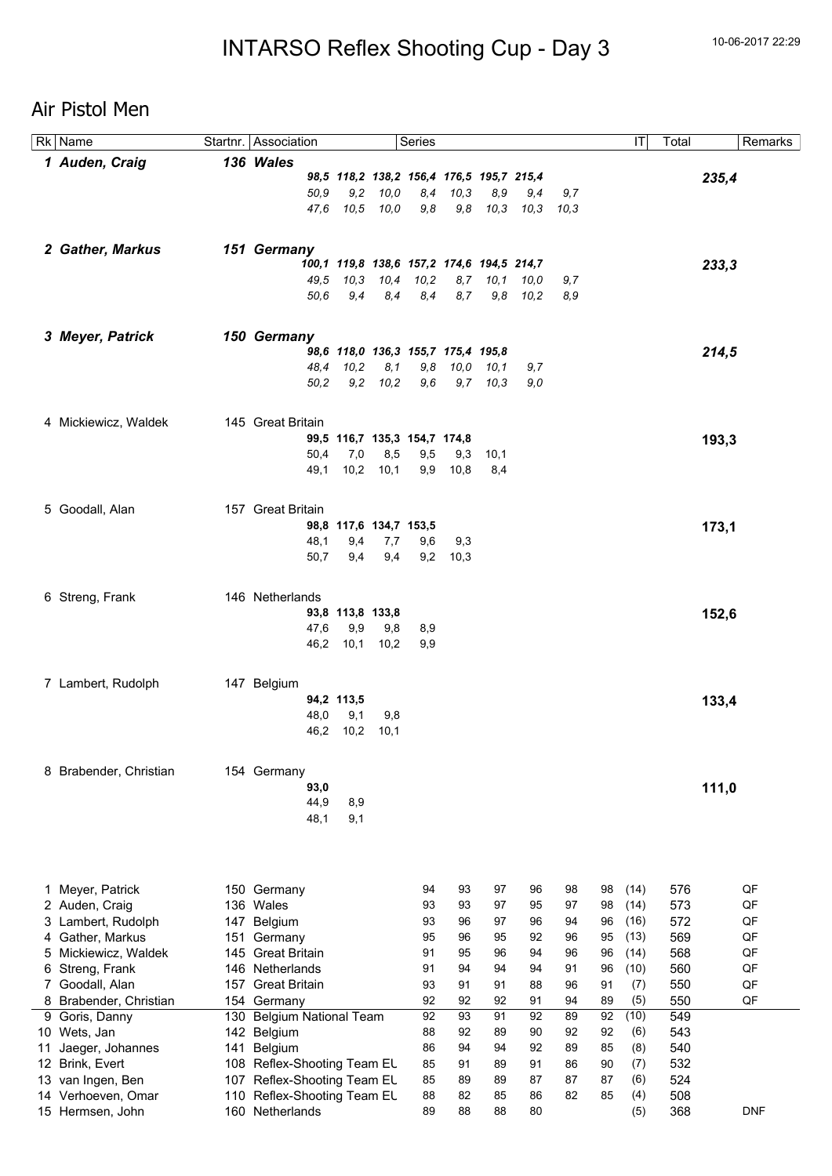## Air Pistol Men

|    | Rk Name              |     | Startnr. Association         |                                           |              | Series |      |       |      |      |    | IT   | Total | Remarks    |
|----|----------------------|-----|------------------------------|-------------------------------------------|--------------|--------|------|-------|------|------|----|------|-------|------------|
|    | 1 Auden, Craig       |     | 136 Wales                    |                                           |              |        |      |       |      |      |    |      |       |            |
|    |                      |     |                              | 98,5 118,2 138,2 156,4 176,5 195,7 215,4  |              |        |      |       |      |      |    |      |       | 235,4      |
|    |                      |     | 50,9                         | 9,2                                       | 10,0         | 8,4    | 10,3 | 8,9   | 9,4  | 9,7  |    |      |       |            |
|    |                      |     | 47.6                         | 10,5                                      | 10.0         | 9,8    | 9,8  | 10,3  | 10,3 | 10,3 |    |      |       |            |
|    |                      |     |                              |                                           |              |        |      |       |      |      |    |      |       |            |
|    |                      |     |                              |                                           |              |        |      |       |      |      |    |      |       |            |
|    | 2 Gather, Markus     |     | 151 Germany                  |                                           |              |        |      |       |      |      |    |      |       |            |
|    |                      |     |                              | 100,1 119,8 138,6 157,2 174,6 194,5 214,7 |              |        |      |       |      |      |    |      |       | 233,3      |
|    |                      |     | 49.5                         | 10,3                                      | 10,4         | 10,2   | 8,7  | 10, 1 | 10,0 | 9,7  |    |      |       |            |
|    |                      |     | 50.6                         | 9,4                                       | 8,4          | 8,4    | 8,7  | 9,8   | 10,2 | 8,9  |    |      |       |            |
|    |                      |     |                              |                                           |              |        |      |       |      |      |    |      |       |            |
|    | 3 Meyer, Patrick     |     | 150 Germany                  |                                           |              |        |      |       |      |      |    |      |       |            |
|    |                      |     |                              | 98,6 118,0 136,3 155,7 175,4 195,8        |              |        |      |       |      |      |    |      |       | 214,5      |
|    |                      |     | 48,4                         | 10,2                                      | 8,1          | 9,8    | 10,0 | 10,1  | 9,7  |      |    |      |       |            |
|    |                      |     | 50,2                         |                                           | $9,2$ $10,2$ | 9,6    | 9,7  | 10,3  | 9,0  |      |    |      |       |            |
|    |                      |     |                              |                                           |              |        |      |       |      |      |    |      |       |            |
|    |                      |     |                              |                                           |              |        |      |       |      |      |    |      |       |            |
|    | 4 Mickiewicz, Waldek |     | 145 Great Britain            |                                           |              |        |      |       |      |      |    |      |       |            |
|    |                      |     |                              | 99,5 116,7 135,3 154,7 174,8              |              |        |      |       |      |      |    |      |       | 193,3      |
|    |                      |     | 50,4                         | 7,0                                       | 8,5          | 9,5    | 9,3  | 10,1  |      |      |    |      |       |            |
|    |                      |     | 49,1                         | 10,2                                      | 10,1         | 9,9    | 10,8 | 8,4   |      |      |    |      |       |            |
|    |                      |     |                              |                                           |              |        |      |       |      |      |    |      |       |            |
|    | 5 Goodall, Alan      |     | 157 Great Britain            |                                           |              |        |      |       |      |      |    |      |       |            |
|    |                      |     |                              | 98,8 117,6 134,7 153,5                    |              |        |      |       |      |      |    |      |       | 173,1      |
|    |                      |     | 48,1                         | 9,4                                       | 7,7          | 9,6    | 9,3  |       |      |      |    |      |       |            |
|    |                      |     | 50,7                         | 9,4                                       | 9,4          | 9,2    | 10,3 |       |      |      |    |      |       |            |
|    |                      |     |                              |                                           |              |        |      |       |      |      |    |      |       |            |
|    |                      |     |                              |                                           |              |        |      |       |      |      |    |      |       |            |
|    | 6 Streng, Frank      |     | 146 Netherlands              |                                           |              |        |      |       |      |      |    |      |       |            |
|    |                      |     |                              | 93,8 113,8 133,8                          |              |        |      |       |      |      |    |      |       | 152,6      |
|    |                      |     | 47,6                         | 9,9                                       | 9,8          | 8,9    |      |       |      |      |    |      |       |            |
|    |                      |     | 46,2                         | 10,1                                      | 10,2         | 9,9    |      |       |      |      |    |      |       |            |
|    |                      |     |                              |                                           |              |        |      |       |      |      |    |      |       |            |
|    |                      |     |                              |                                           |              |        |      |       |      |      |    |      |       |            |
|    | 7 Lambert, Rudolph   |     | 147 Belgium                  |                                           |              |        |      |       |      |      |    |      |       |            |
|    |                      |     |                              | 94,2 113,5                                |              |        |      |       |      |      |    |      |       | 133,4      |
|    |                      |     | 48,0                         | 9,1                                       | 9,8          |        |      |       |      |      |    |      |       |            |
|    |                      |     | 46,2                         | 10,2                                      | 10,1         |        |      |       |      |      |    |      |       |            |
|    |                      |     |                              |                                           |              |        |      |       |      |      |    |      |       |            |
| 8  | Brabender, Christian |     | 154 Germany                  |                                           |              |        |      |       |      |      |    |      |       |            |
|    |                      |     | 93,0                         |                                           |              |        |      |       |      |      |    |      |       | 111,0      |
|    |                      |     | 44,9                         | 8,9                                       |              |        |      |       |      |      |    |      |       |            |
|    |                      |     | 48,1                         | 9,1                                       |              |        |      |       |      |      |    |      |       |            |
|    |                      |     |                              |                                           |              |        |      |       |      |      |    |      |       |            |
|    |                      |     |                              |                                           |              |        |      |       |      |      |    |      |       |            |
|    |                      |     |                              |                                           |              |        |      |       |      |      |    |      |       |            |
|    |                      |     |                              |                                           |              |        |      |       |      |      |    |      |       |            |
| 1  | Meyer, Patrick       |     | 150 Germany                  |                                           |              | 94     | 93   | 97    | 96   | 98   | 98 | (14) | 576   | QF         |
|    | 2 Auden, Craig       |     | 136 Wales                    |                                           |              | 93     | 93   | 97    | 95   | 97   | 98 | (14) | 573   | QF         |
| 3  | Lambert, Rudolph     | 147 | Belgium                      |                                           |              | 93     | 96   | 97    | 96   | 94   | 96 | (16) | 572   | QF         |
| 4  | Gather, Markus       | 151 | Germany                      |                                           |              | 95     | 96   | 95    | 92   | 96   | 95 | (13) | 569   | QF         |
| 5  | Mickiewicz, Waldek   | 145 | <b>Great Britain</b>         |                                           |              | 91     | 95   | 96    | 94   | 96   | 96 | (14) | 568   | QF         |
| 6. | Streng, Frank        |     | 146 Netherlands              |                                           |              | 91     | 94   | 94    | 94   | 91   | 96 | (10) | 560   | QF         |
| 7  | Goodall, Alan        | 157 | <b>Great Britain</b>         |                                           |              | 93     | 91   | 91    | 88   | 96   | 91 | (7)  | 550   | QF         |
| 8  | Brabender, Christian |     | 154 Germany                  |                                           |              | 92     | 92   | 92    | 91   | 94   | 89 | (5)  | 550   | QF         |
| 9  | Goris, Danny         | 130 | <b>Belgium National Team</b> |                                           |              | 92     | 93   | 91    | 92   | 89   | 92 | (10) | 549   |            |
|    | 10 Wets, Jan         |     | 142 Belgium                  |                                           |              | 88     | 92   | 89    | 90   | 92   | 92 | (6)  | 543   |            |
| 11 | Jaeger, Johannes     | 141 | Belgium                      |                                           |              | 86     | 94   | 94    | 92   | 89   | 85 | (8)  | 540   |            |
| 12 | Brink, Evert         |     | 108 Reflex-Shooting Team EL  |                                           |              | 85     | 91   | 89    | 91   | 86   | 90 | (7)  | 532   |            |
| 13 | van Ingen, Ben       | 107 | Reflex-Shooting Team EL      |                                           |              | 85     | 89   | 89    | 87   | 87   | 87 | (6)  | 524   |            |
|    | 14 Verhoeven, Omar   |     | 110 Reflex-Shooting Team EL  |                                           |              | 88     | 82   | 85    | 86   | 82   | 85 | (4)  | 508   |            |
|    | 15 Hermsen, John     |     | 160 Netherlands              |                                           |              | 89     | 88   | 88    | 80   |      |    | (5)  | 368   | <b>DNF</b> |
|    |                      |     |                              |                                           |              |        |      |       |      |      |    |      |       |            |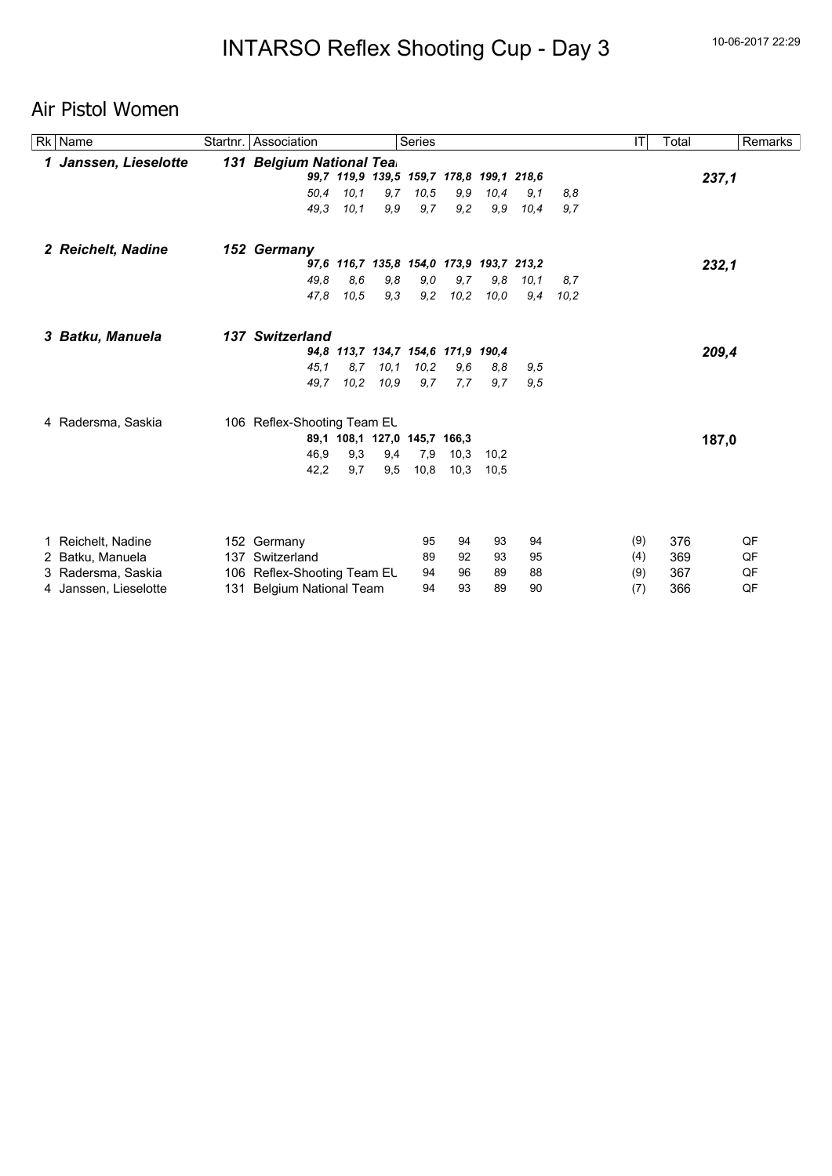## Air Pistol Women

| <b>Rk</b> Name        | Startnr. | Association                 |      |                              | Series |                                          |      |      |      | IT  | Total | Remarks |
|-----------------------|----------|-----------------------------|------|------------------------------|--------|------------------------------------------|------|------|------|-----|-------|---------|
| 1 Janssen, Lieselotte |          | 131 Belgium National Tea.   |      |                              |        |                                          |      |      |      |     |       |         |
|                       |          |                             |      |                              |        | 99,7 119,9 139,5 159,7 178,8 199,1 218,6 |      |      |      |     |       | 237,1   |
|                       |          | 50,4                        | 10,1 | 9,7                          | 10,5   | 9,9                                      | 10,4 | 9,1  | 8,8  |     |       |         |
|                       |          | 49.3                        | 10,1 | 9,9                          | 9,7    | 9,2                                      | 9,9  | 10,4 | 9,7  |     |       |         |
| 2 Reichelt, Nadine    |          | 152 Germany                 |      |                              |        |                                          |      |      |      |     |       |         |
|                       |          |                             |      |                              |        | 97,6 116,7 135,8 154,0 173,9 193,7 213,2 |      |      |      |     |       | 232,1   |
|                       |          | 49.8                        | 8,6  | 9,8                          | 9,0    | 9,7                                      | 9,8  | 10,1 | 8,7  |     |       |         |
|                       |          | 47,8                        | 10,5 | 9,3                          | 9,2    | 10,2                                     | 10,0 | 9,4  | 10.2 |     |       |         |
| 3 Batku, Manuela      |          | 137 Switzerland             |      |                              |        |                                          |      |      |      |     |       |         |
|                       |          |                             |      |                              |        | 94,8 113,7 134,7 154,6 171,9 190,4       |      |      |      |     |       | 209,4   |
|                       |          | 45.1                        | 8.7  | 10,1                         | 10,2   | 9,6                                      | 8,8  | 9,5  |      |     |       |         |
|                       |          | 49.7                        | 10,2 | 10, 9                        | 9,7    | 7,7                                      | 9,7  | 9.5  |      |     |       |         |
| 4 Radersma, Saskia    |          | 106 Reflex-Shooting Team EL |      |                              |        |                                          |      |      |      |     |       |         |
|                       |          |                             |      | 89,1 108,1 127,0 145,7 166,3 |        |                                          |      |      |      |     |       | 187,0   |
|                       |          | 46,9                        | 9,3  | 9,4                          | 7,9    | 10,3                                     | 10,2 |      |      |     |       |         |
|                       |          | 42,2                        | 9,7  | 9,5                          | 10,8   | 10,3                                     | 10,5 |      |      |     |       |         |
|                       |          |                             |      |                              |        |                                          |      |      |      |     |       |         |
| 1 Reichelt, Nadine    |          | 152 Germany                 |      |                              | 95     | 94                                       | 93   | 94   |      | (9) | 376   | QF      |
| 2 Batku, Manuela      |          | 137 Switzerland             |      |                              | 89     | 92                                       | 93   | 95   |      | (4) | 369   | QF      |
| 3 Radersma, Saskia    |          | 106 Reflex-Shooting Team EL |      |                              | 94     | 96                                       | 89   | 88   |      | (9) | 367   | QF      |
| 4 Janssen, Lieselotte |          | 131 Belgium National Team   |      |                              | 94     | 93                                       | 89   | 90   |      | (7) | 366   | QF      |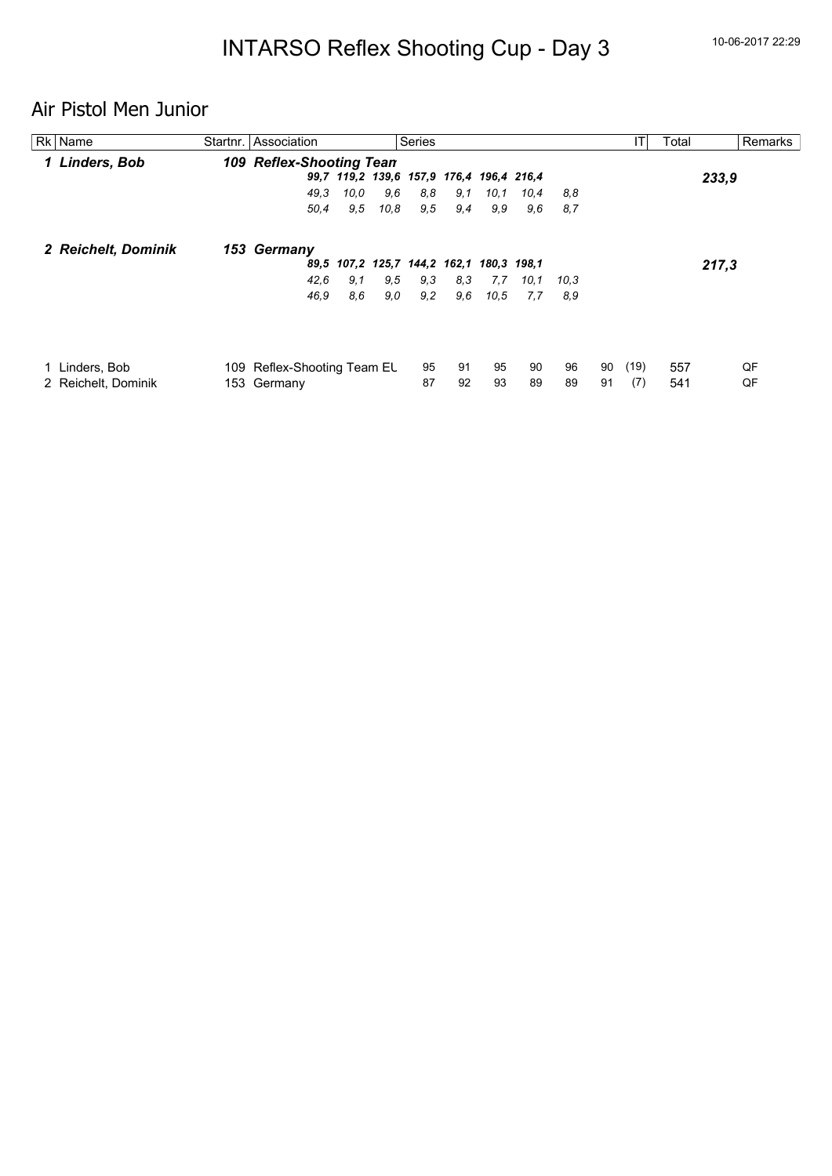# Air Pistol Men Junior

| Rk Name             | Startnr. Association            |      |      | <b>Series</b>                            |     |      |      |      |    | IT   | Total |       | Remarks |
|---------------------|---------------------------------|------|------|------------------------------------------|-----|------|------|------|----|------|-------|-------|---------|
| 1 Linders, Bob      | <b>109 Reflex-Shooting Tean</b> |      |      |                                          |     |      |      |      |    |      |       |       |         |
|                     |                                 |      |      | 99,7 119,2 139,6 157,9 176,4 196,4 216,4 |     |      |      |      |    |      |       | 233,9 |         |
|                     | 49.3                            | 10.0 | 9,6  | 8,8                                      | 9,1 | 10.1 | 10.4 | 8,8  |    |      |       |       |         |
|                     | 50,4                            | 9,5  | 10.8 | 9,5                                      | 9,4 | 9,9  | 9,6  | 8,7  |    |      |       |       |         |
| 2 Reichelt, Dominik | 153 Germany                     |      |      |                                          |     |      |      |      |    |      |       |       |         |
|                     |                                 |      |      | 89,5 107,2 125,7 144,2 162,1 180,3 198,1 |     |      |      |      |    |      |       | 217,3 |         |
|                     | 42.6                            | 9,1  | 9,5  | 9,3                                      | 8,3 | 7.7  | 10,1 | 10,3 |    |      |       |       |         |
|                     | 46,9                            | 8,6  | 9,0  | 9,2                                      | 9,6 | 10,5 | 7,7  | 8,9  |    |      |       |       |         |
|                     |                                 |      |      |                                          |     |      |      |      |    |      |       |       |         |
| Linders, Bob        | 109 Reflex-Shooting Team EL     |      |      | 95                                       | 91  | 95   | 90   | 96   | 90 | (19) | 557   |       | QF      |
| 2 Reichelt, Dominik | 153 Germany                     |      |      | 87                                       | 92  | 93   | 89   | 89   | 91 | (7)  | 541   |       | QF      |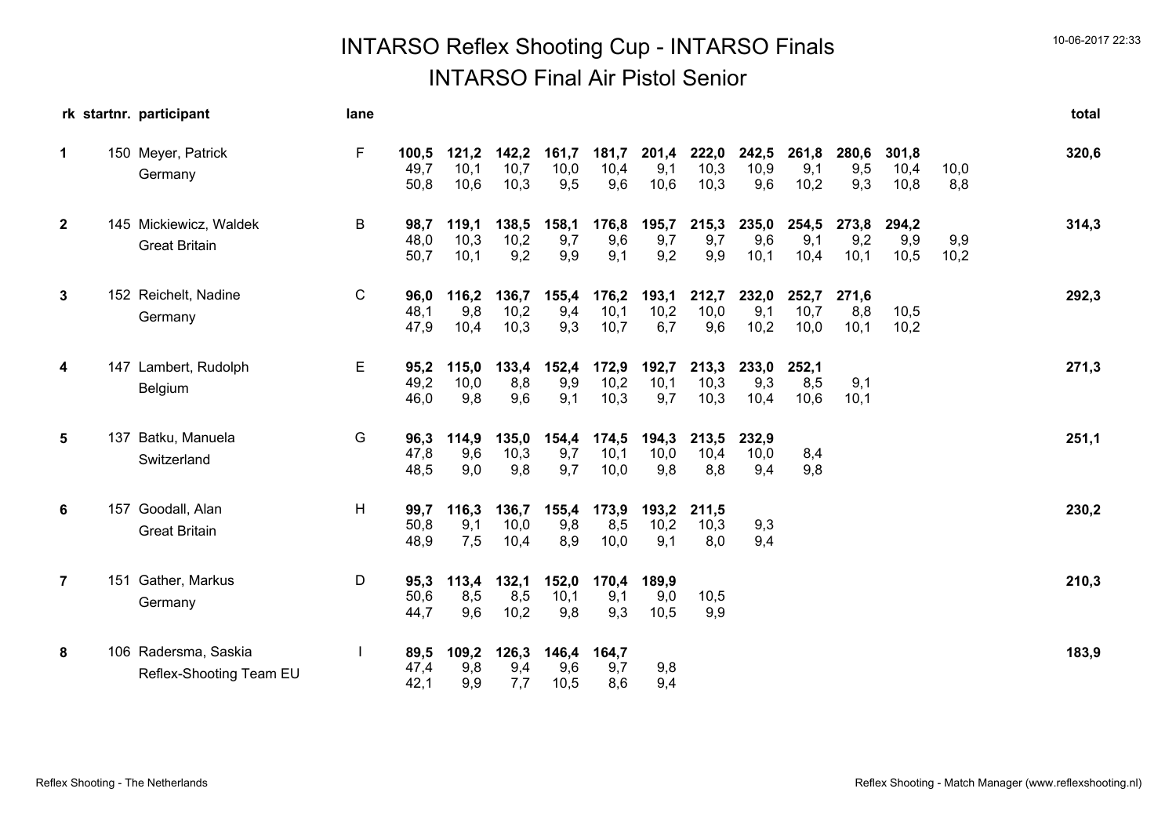# INTARSO Reflex Shooting Cup - INTARSO Finals 10-06-2017 22:33 INTARSO Final Air Pistol Senior

|                | rk startnr. participant                         | lane         |                       |                       |                       |                      |                       |                      |                       |                      |                       |                      |                       |             | total |
|----------------|-------------------------------------------------|--------------|-----------------------|-----------------------|-----------------------|----------------------|-----------------------|----------------------|-----------------------|----------------------|-----------------------|----------------------|-----------------------|-------------|-------|
| $\mathbf{1}$   | 150 Meyer, Patrick<br>Germany                   | F            | 100,5<br>49,7<br>50,8 | 121,2<br>10,1<br>10,6 | 142,2<br>10,7<br>10,3 | 161,7<br>10,0<br>9,5 | 181,7<br>10,4<br>9,6  | 201,4<br>9,1<br>10,6 | 222,0<br>10,3<br>10,3 | 242,5<br>10,9<br>9,6 | 261,8<br>9,1<br>10,2  | 280,6<br>9,5<br>9,3  | 301,8<br>10,4<br>10,8 | 10,0<br>8,8 | 320,6 |
| $\mathbf{2}$   | 145 Mickiewicz, Waldek<br><b>Great Britain</b>  | B            | 98,7<br>48,0<br>50,7  | 119,1<br>10,3<br>10,1 | 138,5<br>10,2<br>9,2  | 158,1<br>9,7<br>9,9  | 176,8<br>9,6<br>9,1   | 195,7<br>9,7<br>9,2  | 215,3<br>9,7<br>9,9   | 235,0<br>9,6<br>10,1 | 254,5<br>9,1<br>10,4  | 273,8<br>9,2<br>10,1 | 294,2<br>9,9<br>10,5  | 9,9<br>10,2 | 314,3 |
| 3              | 152 Reichelt, Nadine<br>Germany                 | $\mathsf{C}$ | 96,0<br>48,1<br>47,9  | 116,2<br>9,8<br>10,4  | 136,7<br>10,2<br>10,3 | 155,4<br>9,4<br>9,3  | 176,2<br>10,1<br>10,7 | 193,1<br>10,2<br>6,7 | 212,7<br>10,0<br>9,6  | 232,0<br>9,1<br>10,2 | 252,7<br>10,7<br>10,0 | 271,6<br>8,8<br>10,1 | 10,5<br>10,2          |             | 292,3 |
| 4              | 147 Lambert, Rudolph<br>Belgium                 | Е            | 95,2<br>49,2<br>46,0  | 115,0<br>10,0<br>9,8  | 133,4<br>8,8<br>9,6   | 152,4<br>9,9<br>9,1  | 172,9<br>10,2<br>10,3 | 192,7<br>10,1<br>9,7 | 213,3<br>10,3<br>10,3 | 233,0<br>9,3<br>10,4 | 252,1<br>8,5<br>10,6  | 9,1<br>10,1          |                       |             | 271,3 |
| 5              | 137 Batku, Manuela<br>Switzerland               | G            | 96,3<br>47,8<br>48,5  | 114,9<br>9,6<br>9,0   | 135,0<br>10,3<br>9,8  | 154,4<br>9,7<br>9,7  | 174,5<br>10,1<br>10,0 | 194,3<br>10,0<br>9,8 | 213,5<br>10,4<br>8,8  | 232,9<br>10,0<br>9,4 | 8,4<br>9,8            |                      |                       |             | 251,1 |
| 6              | 157 Goodall, Alan<br><b>Great Britain</b>       | н            | 99,7<br>50,8<br>48,9  | 116,3<br>9,1<br>7,5   | 136,7<br>10,0<br>10,4 | 155,4<br>9,8<br>8,9  | 173,9<br>8,5<br>10,0  | 193,2<br>10,2<br>9,1 | 211,5<br>10,3<br>8,0  | 9,3<br>9,4           |                       |                      |                       |             | 230,2 |
| $\overline{7}$ | 151 Gather, Markus<br>Germany                   | D            | 95,3<br>50,6<br>44,7  | 113,4<br>8,5<br>9,6   | 132,1<br>8,5<br>10,2  | 152,0<br>10,1<br>9,8 | 170,4<br>9,1<br>9,3   | 189,9<br>9,0<br>10,5 | 10,5<br>9,9           |                      |                       |                      |                       |             | 210,3 |
| 8              | 106 Radersma, Saskia<br>Reflex-Shooting Team EU |              | 89,5<br>47,4<br>42,1  | 109,2<br>9,8<br>9,9   | 126,3<br>9,4<br>7,7   | 146,4<br>9,6<br>10,5 | 164,7<br>9,7<br>8,6   | 9,8<br>9,4           |                       |                      |                       |                      |                       |             | 183,9 |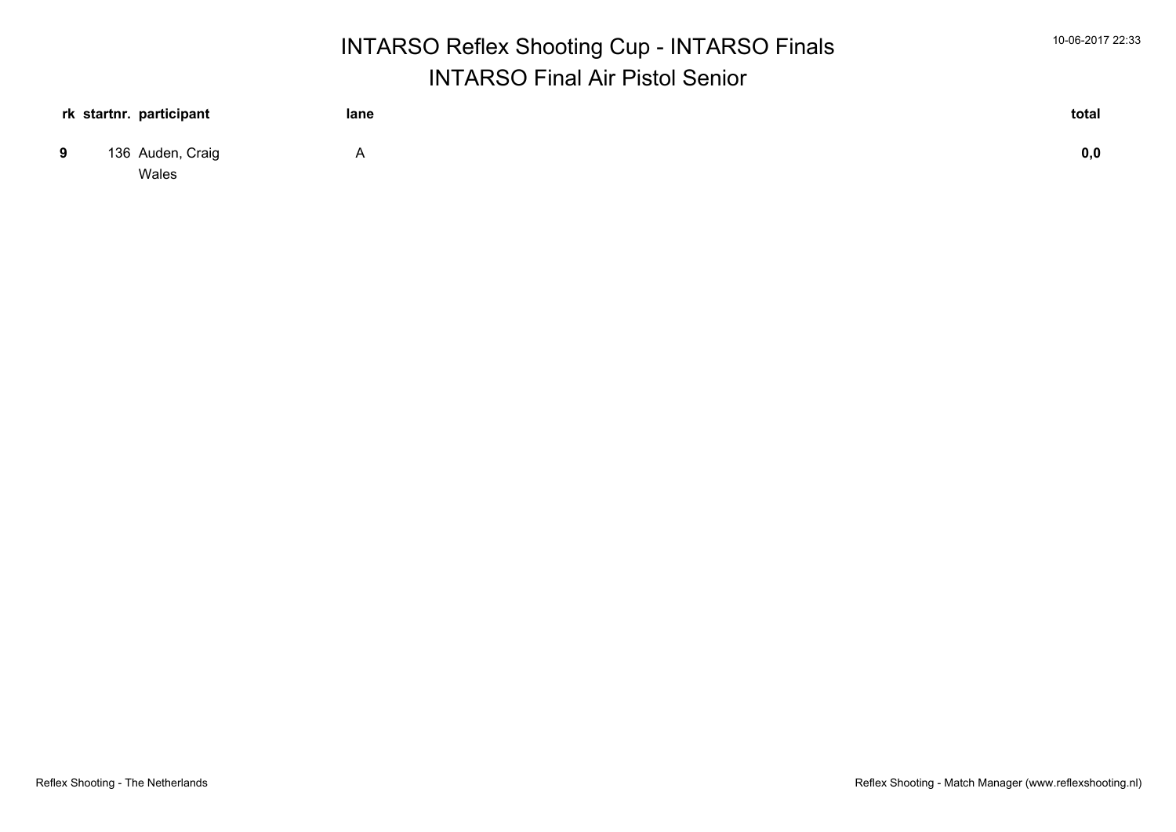|                           | <b>INTARSO Reflex Shooting Cup - INTARSO Finals</b> |                                        |       |  |  |  |  |  |
|---------------------------|-----------------------------------------------------|----------------------------------------|-------|--|--|--|--|--|
|                           |                                                     | <b>INTARSO Final Air Pistol Senior</b> |       |  |  |  |  |  |
| rk startnr. participant   | lane                                                |                                        | total |  |  |  |  |  |
| 136 Auden, Craig<br>Wales | A                                                   |                                        | 0,0   |  |  |  |  |  |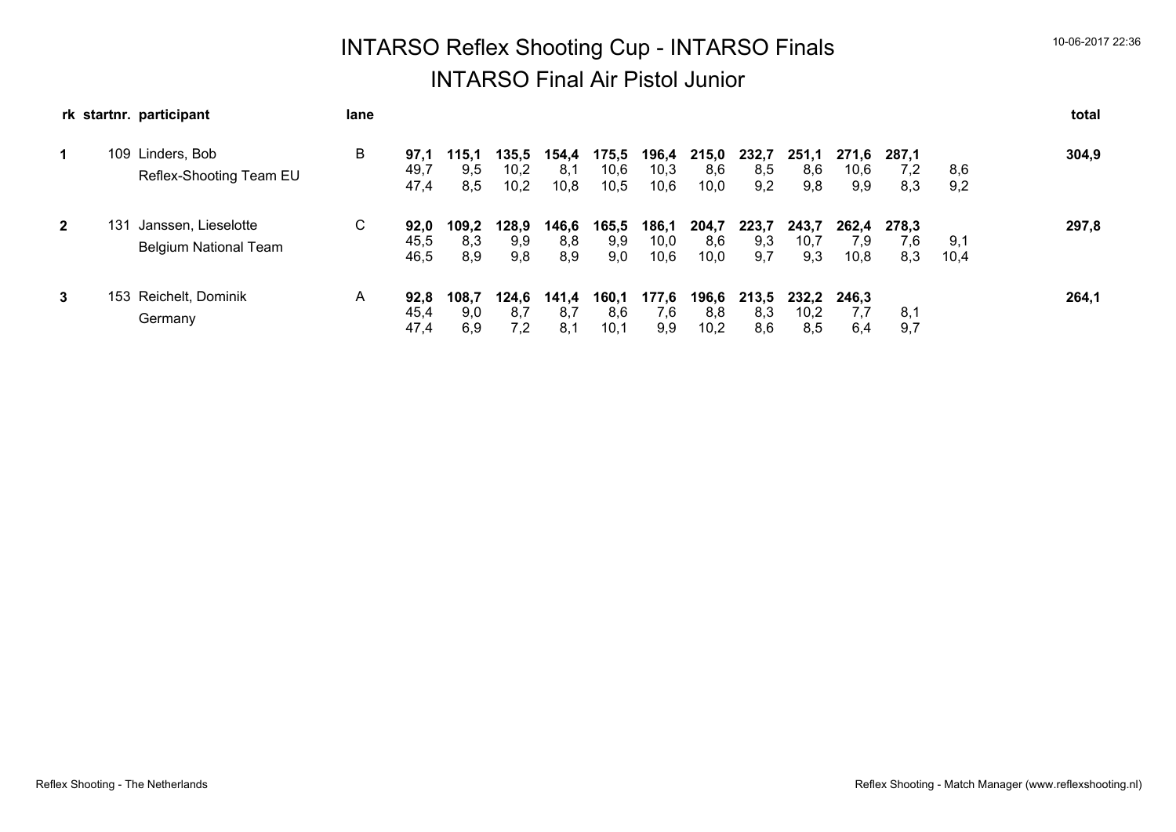# INTARSO Reflex Shooting Cup - INTARSO Finals 10-06-2017 22:36 INTARSO Final Air Pistol Junior

|              | rk startnr. participant                                    | lane |                      |                     |                       |                      |                       |                       |                      |                     |                      |                      |                     |             | total |
|--------------|------------------------------------------------------------|------|----------------------|---------------------|-----------------------|----------------------|-----------------------|-----------------------|----------------------|---------------------|----------------------|----------------------|---------------------|-------------|-------|
| 1            | 109<br>Linders, Bob<br>Reflex-Shooting Team EU             | B    | 97,1<br>49,7<br>47,4 | 115,1<br>9,5<br>8,5 | 135,5<br>10,2<br>10,2 | 154,4<br>8,1<br>10,8 | 175,5<br>10,6<br>10,5 | 196,4<br>10,3<br>10,6 | 215,0<br>8,6<br>10,0 | 232,7<br>8,5<br>9,2 | 251.1<br>8,6<br>9,8  | 271.6<br>10,6<br>9,9 | 287.1<br>7,2<br>8,3 | 8,6<br>9,2  | 304,9 |
| $\mathbf{2}$ | 131<br>Janssen, Lieselotte<br><b>Belgium National Team</b> | C    | 92.0<br>45,5<br>46,5 | 109.2<br>8,3<br>8.9 | 128,9<br>9,9<br>9,8   | 146,6<br>8,8<br>8,9  | 165,5<br>9,9<br>9,0   | 186,1<br>10,0<br>10,6 | 204,7<br>8,6<br>10,0 | 223,7<br>9,3<br>9,7 | 243,7<br>10,7<br>9,3 | 262.4<br>7.9<br>10,8 | 278.3<br>7,6<br>8,3 | 9,1<br>10,4 | 297,8 |
| 3            | 153 Reichelt, Dominik<br>Germany                           | A    | 92,8<br>45,4<br>47,4 | 108,7<br>9,0<br>6,9 | 124.6<br>8,7<br>7,2   | 141,4<br>8,7<br>8,1  | 160,1<br>8,6<br>10,1  | 177,6<br>7,6<br>9,9   | 196,6<br>8,8<br>10,2 | 213.5<br>8,3<br>8,6 | 232.2<br>10,2<br>8,5 | 246.3<br>7,7<br>6,4  | 8,1<br>9,7          |             | 264,1 |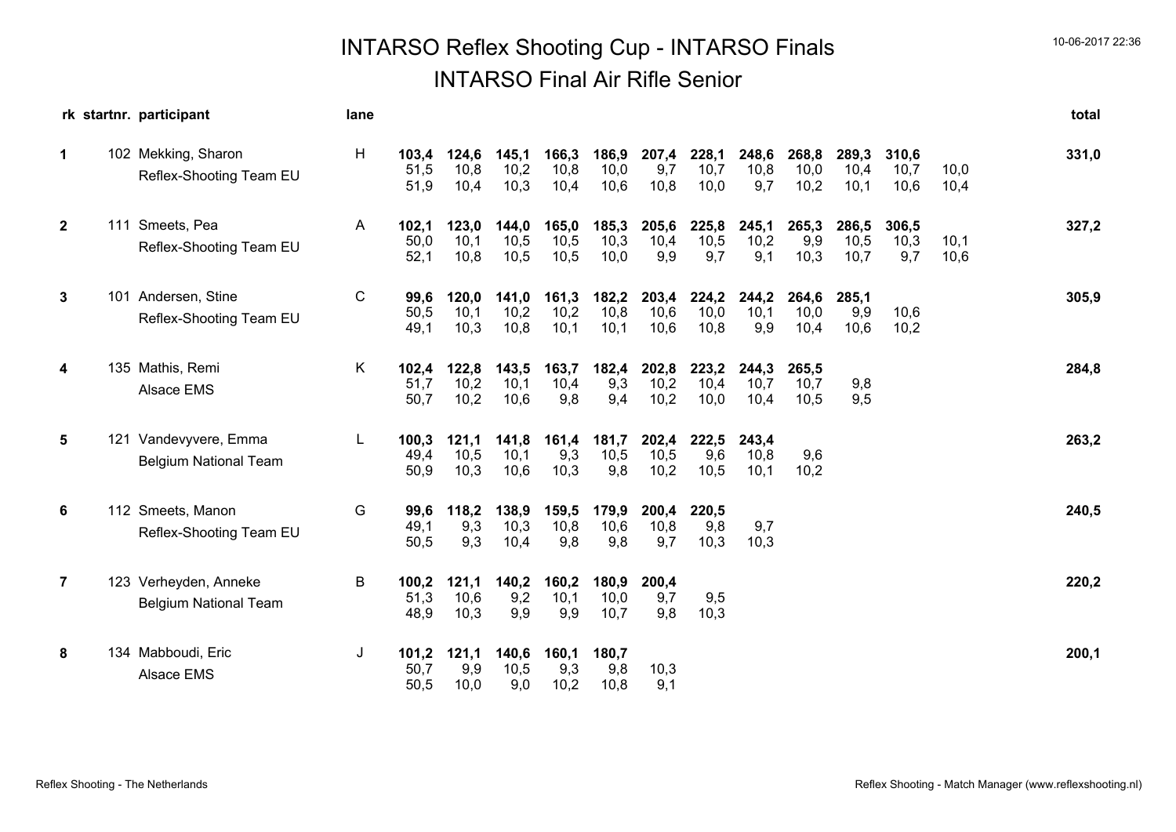# INTARSO Reflex Shooting Cup - INTARSO Finals 10-06-2017 22:36 INTARSO Final Air Rifle Senior

|                | rk startnr. participant                               | lane |                       |                       |                       |                       |                       |                       |                       |                       |                       |                       |                       |              | total |
|----------------|-------------------------------------------------------|------|-----------------------|-----------------------|-----------------------|-----------------------|-----------------------|-----------------------|-----------------------|-----------------------|-----------------------|-----------------------|-----------------------|--------------|-------|
| $\mathbf 1$    | 102 Mekking, Sharon<br>Reflex-Shooting Team EU        | H    | 103,4<br>51,5<br>51,9 | 124,6<br>10,8<br>10,4 | 145,1<br>10,2<br>10,3 | 166,3<br>10,8<br>10,4 | 186,9<br>10,0<br>10,6 | 207,4<br>9,7<br>10,8  | 228,1<br>10,7<br>10,0 | 248,6<br>10,8<br>9,7  | 268,8<br>10,0<br>10,2 | 289,3<br>10,4<br>10,1 | 310,6<br>10,7<br>10,6 | 10,0<br>10,4 | 331,0 |
| $\mathbf{2}$   | 111 Smeets, Pea<br>Reflex-Shooting Team EU            | A    | 102,1<br>50,0<br>52,1 | 123,0<br>10,1<br>10,8 | 144,0<br>10,5<br>10,5 | 165,0<br>10,5<br>10,5 | 185,3<br>10,3<br>10,0 | 205,6<br>10,4<br>9,9  | 225,8<br>10,5<br>9,7  | 245,1<br>10,2<br>9,1  | 265,3<br>9,9<br>10,3  | 286,5<br>10,5<br>10,7 | 306,5<br>10,3<br>9,7  | 10,1<br>10,6 | 327,2 |
| 3              | 101 Andersen, Stine<br>Reflex-Shooting Team EU        | C    | 99,6<br>50,5<br>49,1  | 120,0<br>10,1<br>10,3 | 141,0<br>10,2<br>10,8 | 161,3<br>10,2<br>10,1 | 182,2<br>10,8<br>10,1 | 203,4<br>10,6<br>10,6 | 224,2<br>10,0<br>10,8 | 244,2<br>10,1<br>9,9  | 264,6<br>10,0<br>10,4 | 285,1<br>9,9<br>10,6  | 10,6<br>10,2          |              | 305,9 |
| 4              | 135 Mathis, Remi<br>Alsace EMS                        | Κ    | 102,4<br>51,7<br>50,7 | 122,8<br>10,2<br>10,2 | 143,5<br>10,1<br>10,6 | 163,7<br>10,4<br>9,8  | 182,4<br>9,3<br>9,4   | 202,8<br>10,2<br>10,2 | 223,2<br>10,4<br>10,0 | 244,3<br>10,7<br>10,4 | 265,5<br>10,7<br>10,5 | 9,8<br>9,5            |                       |              | 284,8 |
| 5              | 121 Vandevyvere, Emma<br><b>Belgium National Team</b> | L    | 100,3<br>49,4<br>50,9 | 121,1<br>10,5<br>10,3 | 141,8<br>10,1<br>10,6 | 161,4<br>9,3<br>10,3  | 181,7<br>10,5<br>9,8  | 202,4<br>10,5<br>10,2 | 222,5<br>9,6<br>10,5  | 243,4<br>10,8<br>10,1 | 9,6<br>10,2           |                       |                       |              | 263,2 |
| 6              | 112 Smeets, Manon<br>Reflex-Shooting Team EU          | G    | 99,6<br>49,1<br>50,5  | 118,2<br>9,3<br>9,3   | 138,9<br>10,3<br>10,4 | 159,5<br>10,8<br>9,8  | 179,9<br>10,6<br>9,8  | 200,4<br>10,8<br>9,7  | 220,5<br>9,8<br>10,3  | 9,7<br>10,3           |                       |                       |                       |              | 240,5 |
| $\overline{7}$ | 123 Verheyden, Anneke<br><b>Belgium National Team</b> | B    | 100,2<br>51,3<br>48,9 | 121,1<br>10,6<br>10,3 | 140,2<br>9,2<br>9,9   | 160,2<br>10,1<br>9,9  | 180,9<br>10,0<br>10,7 | 200,4<br>9,7<br>9,8   | 9,5<br>10,3           |                       |                       |                       |                       |              | 220,2 |
| 8              | 134 Mabboudi, Eric<br>Alsace EMS                      | J    | 101,2<br>50,7<br>50,5 | 121,1<br>9,9<br>10,0  | 140,6<br>10,5<br>9,0  | 160,1<br>9,3<br>10,2  | 180,7<br>9,8<br>10,8  | 10,3<br>9.1           |                       |                       |                       |                       |                       |              | 200,1 |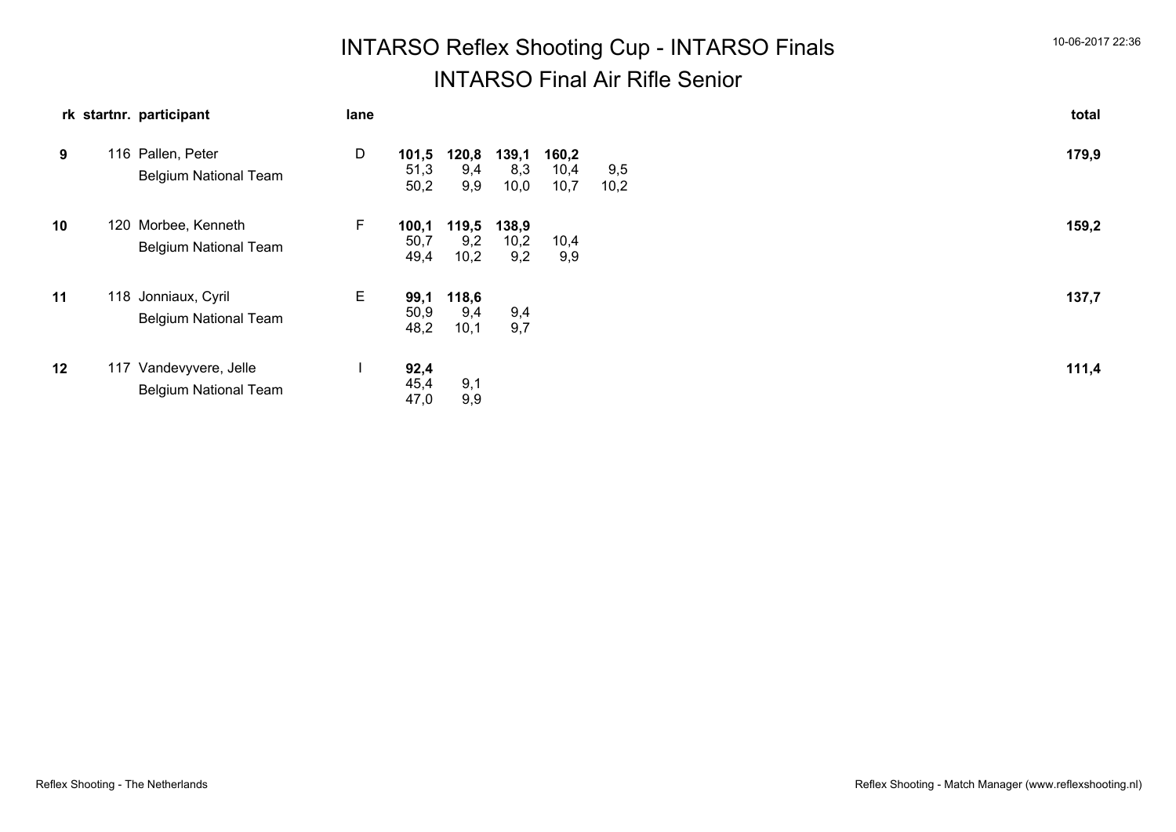| <b>INTARSO Reflex Shooting Cup - INTARSO Finals</b> | 10-06-2017 22:36 |
|-----------------------------------------------------|------------------|
| <b>INTARSO Final Air Rifle Senior</b>               |                  |

|    |     | rk startnr. participant                             | lane |                       |                      |                      |                       |             | total |  |
|----|-----|-----------------------------------------------------|------|-----------------------|----------------------|----------------------|-----------------------|-------------|-------|--|
| 9  |     | 116 Pallen, Peter<br><b>Belgium National Team</b>   | D    | 101,5<br>51,3<br>50,2 | 120,8<br>9,4<br>9,9  | 139,1<br>8,3<br>10,0 | 160,2<br>10,4<br>10,7 | 9,5<br>10,2 | 179,9 |  |
| 10 | 120 | Morbee, Kenneth<br><b>Belgium National Team</b>     | F.   | 100,1<br>50,7<br>49,4 | 119,5<br>9,2<br>10,2 | 138,9<br>10,2<br>9,2 | 10,4<br>9,9           |             | 159,2 |  |
| 11 |     | 118 Jonniaux, Cyril<br><b>Belgium National Team</b> | E.   | 99,1<br>50,9<br>48,2  | 118,6<br>9,4<br>10,1 | 9,4<br>9,7           |                       |             | 137,7 |  |
| 12 | 117 | Vandevyvere, Jelle<br><b>Belgium National Team</b>  |      | 92,4<br>45,4<br>47,0  | 9,1<br>9,9           |                      |                       |             | 111,4 |  |